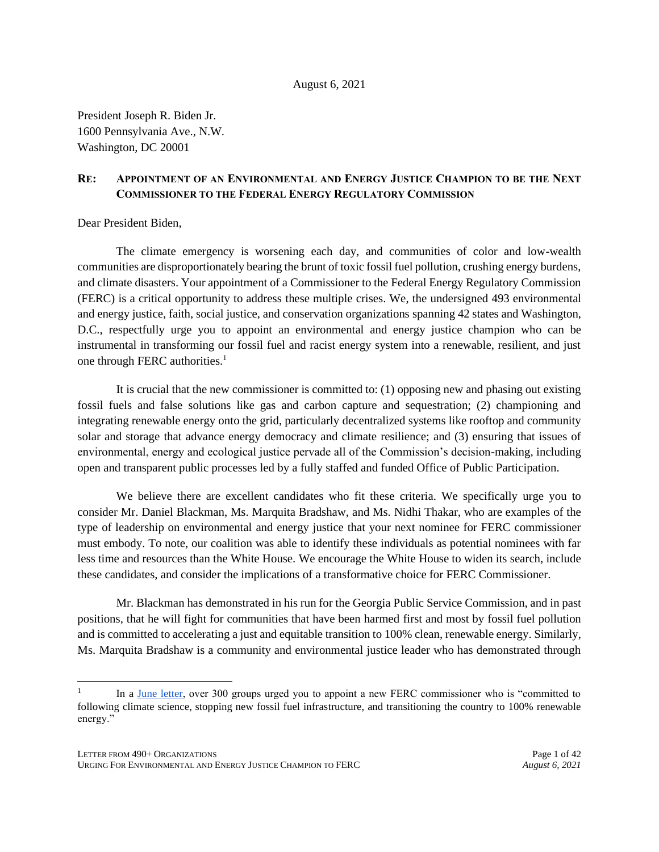#### August 6, 2021

President Joseph R. Biden Jr. 1600 Pennsylvania Ave., N.W. Washington, DC 20001

### **RE: APPOINTMENT OF AN ENVIRONMENTAL AND ENERGY JUSTICE CHAMPION TO BE THE NEXT COMMISSIONER TO THE FEDERAL ENERGY REGULATORY COMMISSION**

Dear President Biden,

The climate emergency is worsening each day, and communities of color and low-wealth communities are disproportionately bearing the brunt of toxic fossil fuel pollution, crushing energy burdens, and climate disasters. Your appointment of a Commissioner to the Federal Energy Regulatory Commission (FERC) is a critical opportunity to address these multiple crises. We, the undersigned 493 environmental and energy justice, faith, social justice, and conservation organizations spanning 42 states and Washington, D.C., respectfully urge you to appoint an environmental and energy justice champion who can be instrumental in transforming our fossil fuel and racist energy system into a renewable, resilient, and just one through FERC authorities.<sup>1</sup>

It is crucial that the new commissioner is committed to: (1) opposing new and phasing out existing fossil fuels and false solutions like gas and carbon capture and sequestration; (2) championing and integrating renewable energy onto the grid, particularly decentralized systems like rooftop and community solar and storage that advance energy democracy and climate resilience; and (3) ensuring that issues of environmental, energy and ecological justice pervade all of the Commission's decision-making, including open and transparent public processes led by a fully staffed and funded Office of Public Participation.

We believe there are excellent candidates who fit these criteria. We specifically urge you to consider Mr. Daniel Blackman, Ms. Marquita Bradshaw, and Ms. Nidhi Thakar, who are examples of the type of leadership on environmental and energy justice that your next nominee for FERC commissioner must embody. To note, our coalition was able to identify these individuals as potential nominees with far less time and resources than the White House. We encourage the White House to widen its search, include these candidates, and consider the implications of a transformative choice for FERC Commissioner.

Mr. Blackman has demonstrated in his run for the Georgia Public Service Commission, and in past positions, that he will fight for communities that have been harmed first and most by fossil fuel pollution and is committed to accelerating a just and equitable transition to 100% clean, renewable energy. Similarly, Ms. Marquita Bradshaw is a community and environmental justice leader who has demonstrated through

<sup>1</sup> In a [June letter,](https://www.foodandwaterwatch.org/wp-content/uploads/2021/06/FERC-sign-on-letter.pdf.) over 300 groups urged you to appoint a new FERC commissioner who is "committed to following climate science, stopping new fossil fuel infrastructure, and transitioning the country to 100% renewable energy."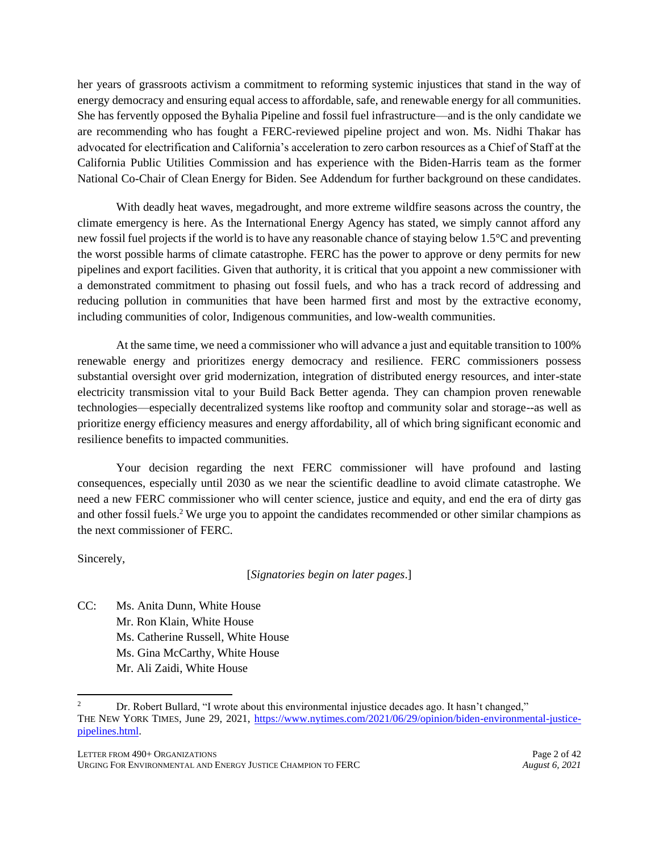her years of grassroots activism a commitment to reforming systemic injustices that stand in the way of energy democracy and ensuring equal access to affordable, safe, and renewable energy for all communities. She has fervently opposed the Byhalia Pipeline and fossil fuel infrastructure—and is the only candidate we are recommending who has fought a FERC-reviewed pipeline project and won. Ms. Nidhi Thakar has advocated for electrification and California's acceleration to zero carbon resources as a Chief of Staff at the California Public Utilities Commission and has experience with the Biden-Harris team as the former National Co-Chair of Clean Energy for Biden. See Addendum for further background on these candidates.

With deadly heat waves, megadrought, and more extreme wildfire seasons across the country, the climate emergency is here. As the International Energy Agency has stated, we simply cannot afford any new fossil fuel projects if the world is to have any reasonable chance of staying below 1.5°C and preventing the worst possible harms of climate catastrophe. FERC has the power to approve or deny permits for new pipelines and export facilities. Given that authority, it is critical that you appoint a new commissioner with a demonstrated commitment to phasing out fossil fuels, and who has a track record of addressing and reducing pollution in communities that have been harmed first and most by the extractive economy, including communities of color, Indigenous communities, and low-wealth communities.

At the same time, we need a commissioner who will advance a just and equitable transition to 100% renewable energy and prioritizes energy democracy and resilience. FERC commissioners possess substantial oversight over grid modernization, integration of distributed energy resources, and inter-state electricity transmission vital to your Build Back Better agenda. They can champion proven renewable technologies—especially decentralized systems like rooftop and community solar and storage--as well as prioritize energy efficiency measures and energy affordability, all of which bring significant economic and resilience benefits to impacted communities.

Your decision regarding the next FERC commissioner will have profound and lasting consequences, especially until 2030 as we near the scientific deadline to avoid climate catastrophe. We need a new FERC commissioner who will center science, justice and equity, and end the era of dirty gas and other fossil fuels.<sup>2</sup> We urge you to appoint the candidates recommended or other similar champions as the next commissioner of FERC.

Sincerely,

[*Signatories begin on later pages*.]

CC: Ms. Anita Dunn, White House Mr. Ron Klain, White House Ms. Catherine Russell, White House Ms. Gina McCarthy, White House Mr. Ali Zaidi, White House

<sup>2</sup> Dr. Robert Bullard, "I wrote about this environmental injustice decades ago. It hasn't changed," THE NEW YORK TIMES, June 29, 2021, [https://www.nytimes.com/2021/06/29/opinion/biden-environmental-justice](https://www.nytimes.com/2021/06/29/opinion/biden-environmental-justice-pipelines.html)[pipelines.html.](https://www.nytimes.com/2021/06/29/opinion/biden-environmental-justice-pipelines.html)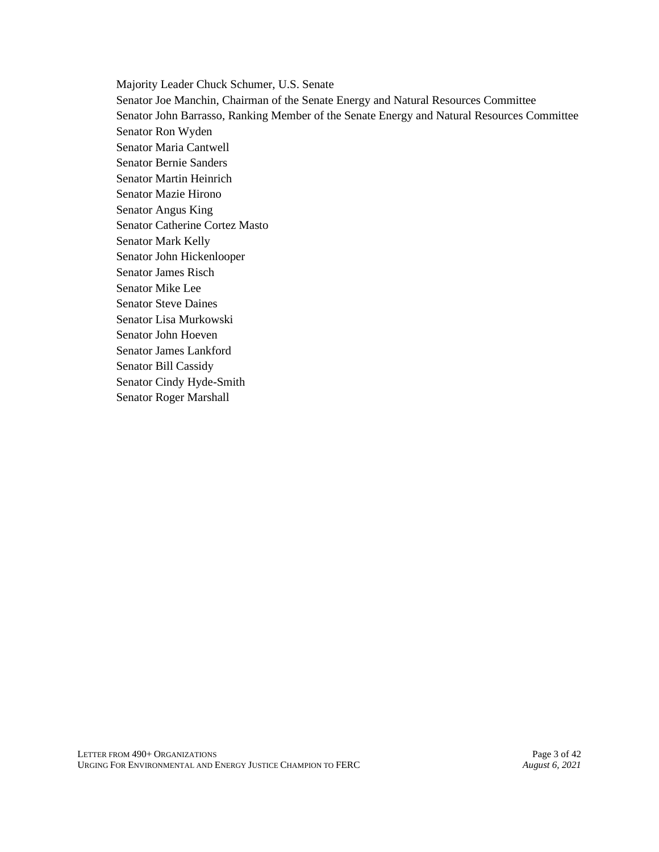Majority Leader Chuck Schumer, U.S. Senate Senator Joe Manchin, Chairman of the Senate Energy and Natural Resources Committee Senator John Barrasso, Ranking Member of the Senate Energy and Natural Resources Committee Senator Ron Wyden Senator Maria Cantwell Senator Bernie Sanders Senator Martin Heinrich Senator Mazie Hirono Senator Angus King Senator Catherine Cortez Masto Senator Mark Kelly Senator John Hickenlooper Senator James Risch Senator Mike Lee Senator Steve Daines Senator Lisa Murkowski Senator John Hoeven Senator James Lankford Senator Bill Cassidy Senator Cindy Hyde-Smith Senator Roger Marshall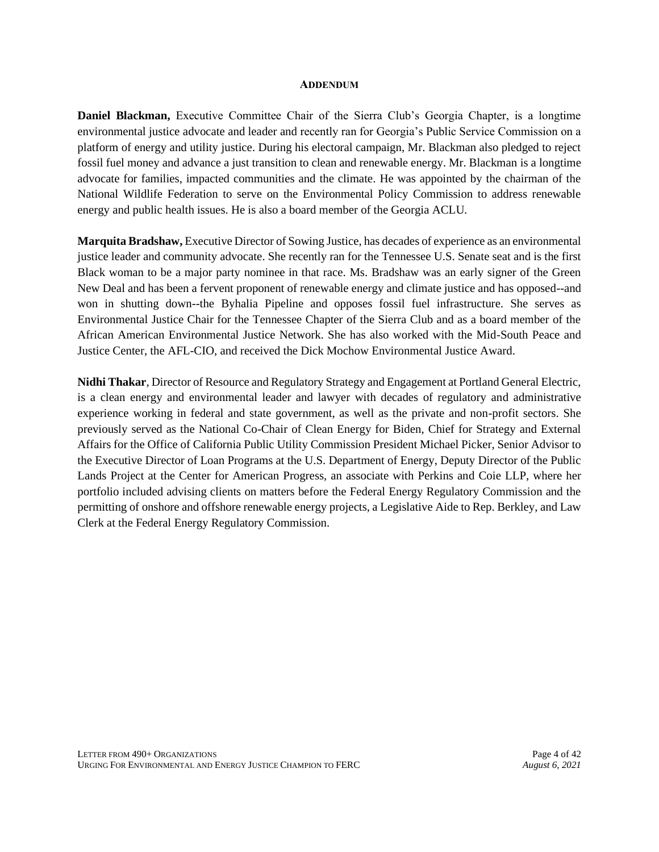#### **ADDENDUM**

**Daniel Blackman,** Executive Committee Chair of the Sierra Club's Georgia Chapter, is a longtime environmental justice advocate and leader and recently ran for Georgia's Public Service Commission on a platform of energy and utility justice. During his electoral campaign, Mr. Blackman also pledged to reject fossil fuel money and advance a just transition to clean and renewable energy. Mr. Blackman is a longtime advocate for families, impacted communities and the climate. He was appointed by the chairman of the National Wildlife Federation to serve on the Environmental Policy Commission to address renewable energy and public health issues. He is also a board member of the Georgia ACLU.

**Marquita Bradshaw,** Executive Director of Sowing Justice, has decades of experience as an environmental justice leader and community advocate. She recently ran for the Tennessee U.S. Senate seat and is the first Black woman to be a major party nominee in that race. Ms. Bradshaw was an early signer of the Green New Deal and has been a fervent proponent of renewable energy and climate justice and has opposed--and won in shutting down--the Byhalia Pipeline and opposes fossil fuel infrastructure. She serves as Environmental Justice Chair for the Tennessee Chapter of the Sierra Club and as a board member of the African American Environmental Justice Network. She has also worked with the Mid-South Peace and Justice Center, the AFL-CIO, and received the Dick Mochow Environmental Justice Award.

**Nidhi Thakar**, Director of Resource and Regulatory Strategy and Engagement at Portland General Electric, is a clean energy and environmental leader and lawyer with decades of regulatory and administrative experience working in federal and state government, as well as the private and non-profit sectors. She previously served as the National Co-Chair of Clean Energy for Biden, Chief for Strategy and External Affairs for the Office of California Public Utility Commission President Michael Picker, Senior Advisor to the Executive Director of Loan Programs at the U.S. Department of Energy, Deputy Director of the Public Lands Project at the Center for American Progress, an associate with Perkins and Coie LLP, where her portfolio included advising clients on matters before the Federal Energy Regulatory Commission and the permitting of onshore and offshore renewable energy projects, a Legislative Aide to Rep. Berkley, and Law Clerk at the Federal Energy Regulatory Commission.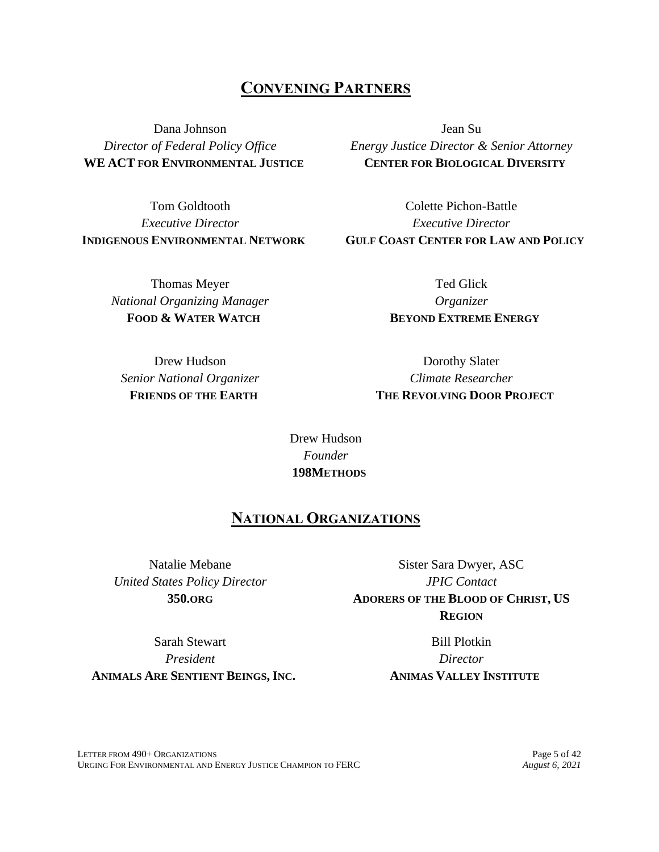# **CONVENING PARTNERS**

Dana Johnson *Director of Federal Policy Office* **WE ACT FOR ENVIRONMENTAL JUSTICE**

Tom Goldtooth *Executive Director* **INDIGENOUS ENVIRONMENTAL NETWORK**

> Thomas Meyer *National Organizing Manager* **FOOD & WATER WATCH**

Jean Su *Energy Justice Director & Senior Attorney* **CENTER FOR BIOLOGICAL DIVERSITY**

Colette Pichon-Battle *Executive Director* **GULF COAST CENTER FOR LAW AND POLICY**

> Ted Glick *Organizer* **BEYOND EXTREME ENERGY**

Drew Hudson *Senior National Organizer* **FRIENDS OF THE EARTH**

Dorothy Slater *Climate Researcher* **THE REVOLVING DOOR PROJECT**

Drew Hudson *Founder* **198METHODS**

# **NATIONAL ORGANIZATIONS**

Natalie Mebane *United States Policy Director* **350.ORG**

Sister Sara Dwyer, ASC *JPIC Contact* **ADORERS OF THE BLOOD OF CHRIST, US REGION**

Sarah Stewart *President* **ANIMALS ARE SENTIENT BEINGS, INC.**

Bill Plotkin *Director* **ANIMAS VALLEY INSTITUTE**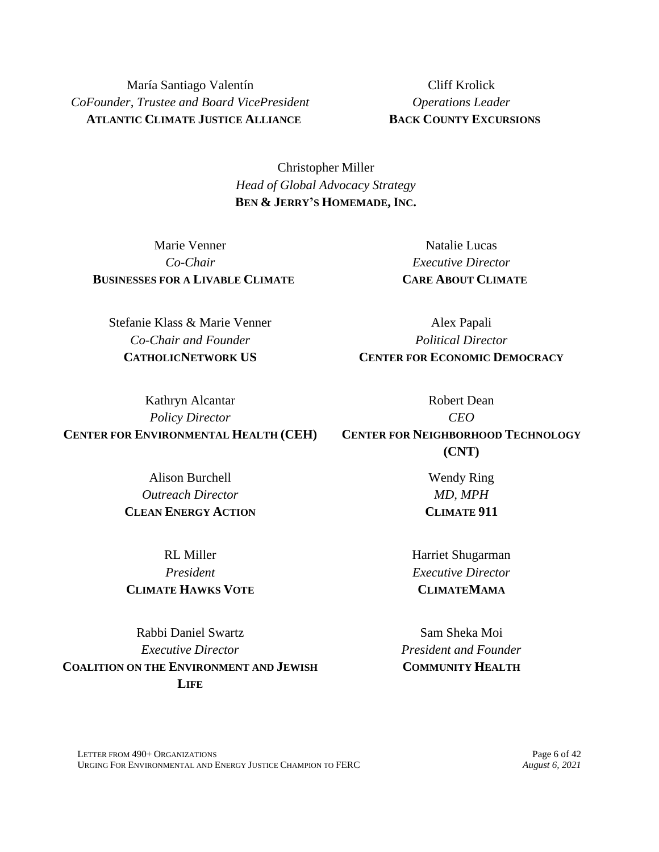María Santiago Valentín *CoFounder, Trustee and Board VicePresident* **ATLANTIC CLIMATE JUSTICE ALLIANCE**

Cliff Krolick *Operations Leader* **BACK COUNTY EXCURSIONS**

Christopher Miller *Head of Global Advocacy Strategy* **BEN & JERRY'S HOMEMADE, INC.**

Marie Venner *Co-Chair* **BUSINESSES FOR A LIVABLE CLIMATE**

Natalie Lucas *Executive Director* **CARE ABOUT CLIMATE**

Stefanie Klass & Marie Venner *Co-Chair and Founder* **CATHOLICNETWORK US**

*Political Director* **CENTER FOR ECONOMIC DEMOCRACY** Robert Dean

Alex Papali

*Policy Director* **CENTER FOR ENVIRONMENTAL HEALTH (CEH)**

*CEO* **CENTER FOR NEIGHBORHOOD TECHNOLOGY (CNT)**

Alison Burchell *Outreach Director* **CLEAN ENERGY ACTION**

RL Miller *President* **CLIMATE HAWKS VOTE**

Rabbi Daniel Swartz *Executive Director* **COALITION ON THE ENVIRONMENT AND JEWISH LIFE**

Harriet Shugarman *Executive Director* **CLIMATEMAMA**

Sam Sheka Moi *President and Founder* **COMMUNITY HEALTH**

Wendy Ring *MD, MPH* **CLIMATE 911**

Kathryn Alcantar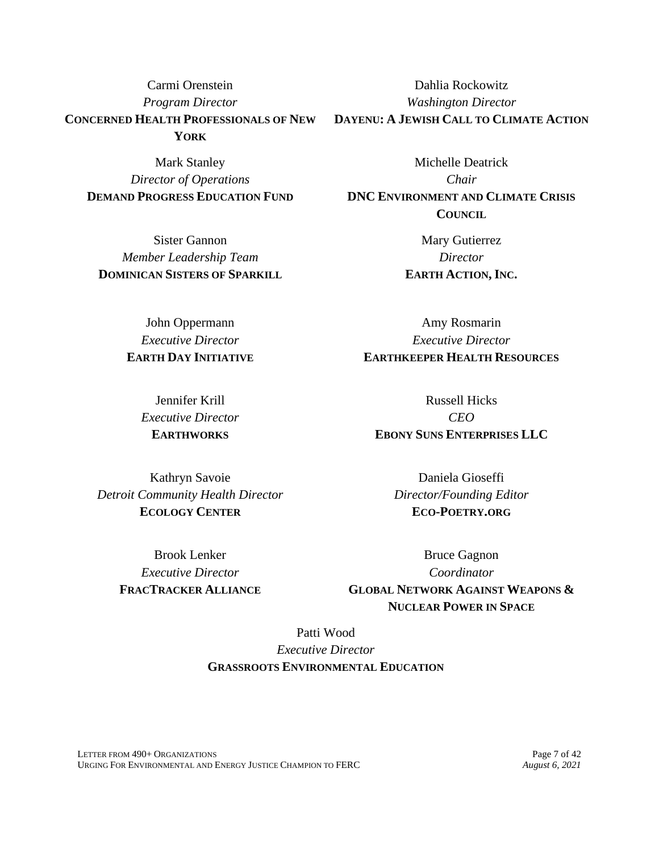Carmi Orenstein *Program Director* **CONCERNED HEALTH PROFESSIONALS OF NEW YORK**

Mark Stanley *Director of Operations* **DEMAND PROGRESS EDUCATION FUND**

Sister Gannon *Member Leadership Team* **DOMINICAN SISTERS OF SPARKILL**

> John Oppermann *Executive Director* **EARTH DAY INITIATIVE**

> > Jennifer Krill *Executive Director* **EARTHWORKS**

Dahlia Rockowitz *Washington Director* **DAYENU: A JEWISH CALL TO CLIMATE ACTION**

Michelle Deatrick *Chair* **DNC ENVIRONMENT AND CLIMATE CRISIS COUNCIL**

> Mary Gutierrez *Director* **EARTH ACTION, INC.**

Amy Rosmarin *Executive Director* **EARTHKEEPER HEALTH RESOURCES**

Russell Hicks *CEO* **EBONY SUNS ENTERPRISES LLC**

Kathryn Savoie *Detroit Community Health Director* **ECOLOGY CENTER**

> Brook Lenker *Executive Director* **FRACTRACKER ALLIANCE**

Daniela Gioseffi *Director/Founding Editor* **ECO-POETRY.ORG**

Bruce Gagnon *Coordinator* **GLOBAL NETWORK AGAINST WEAPONS & NUCLEAR POWER IN SPACE**

Patti Wood *Executive Director* **GRASSROOTS ENVIRONMENTAL EDUCATION**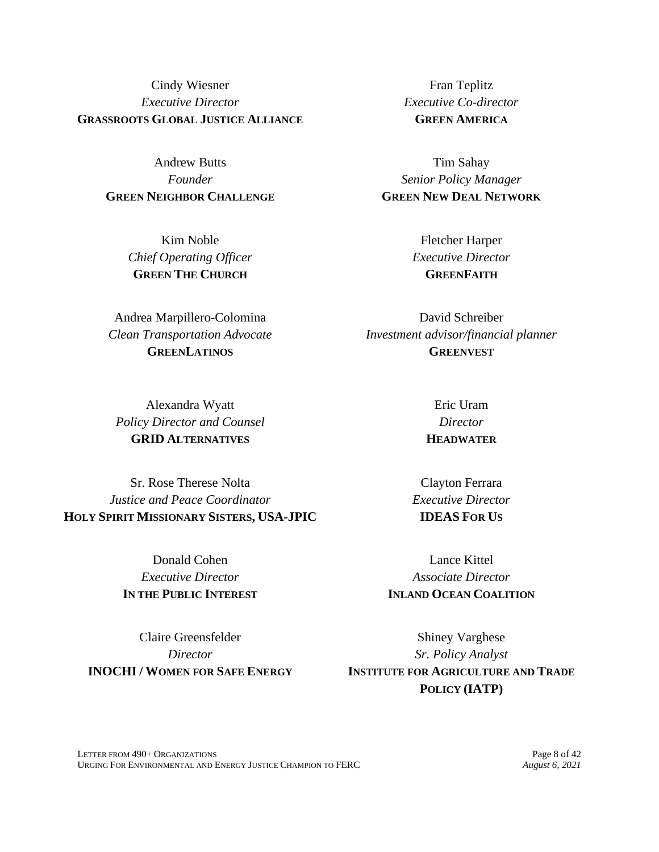Cindy Wiesner *Executive Director* **GRASSROOTS GLOBAL JUSTICE ALLIANCE**

> Andrew Butts *Founder* **GREEN NEIGHBOR CHALLENGE**

> > Kim Noble *Chief Operating Officer* **GREEN THE CHURCH**

Andrea Marpillero-Colomina *Clean Transportation Advocate* **GREENLATINOS**

Alexandra Wyatt *Policy Director and Counsel* **GRID ALTERNATIVES**

Sr. Rose Therese Nolta *Justice and Peace Coordinator* **HOLY SPIRIT MISSIONARY SISTERS, USA-JPIC**

> Donald Cohen *Executive Director* **IN THE PUBLIC INTEREST**

Claire Greensfelder *Director* **INOCHI / WOMEN FOR SAFE ENERGY**

Fran Teplitz *Executive Co-director* **GREEN AMERICA**

Tim Sahay *Senior Policy Manager* **GREEN NEW DEAL NETWORK**

> Fletcher Harper *Executive Director* **GREENFAITH**

David Schreiber *Investment advisor/financial planner* **GREENVEST**

> Eric Uram *Director* **HEADWATER**

Clayton Ferrara *Executive Director* **IDEAS FOR US**

Lance Kittel *Associate Director* **INLAND OCEAN COALITION**

Shiney Varghese *Sr. Policy Analyst* **INSTITUTE FOR AGRICULTURE AND TRADE POLICY (IATP)**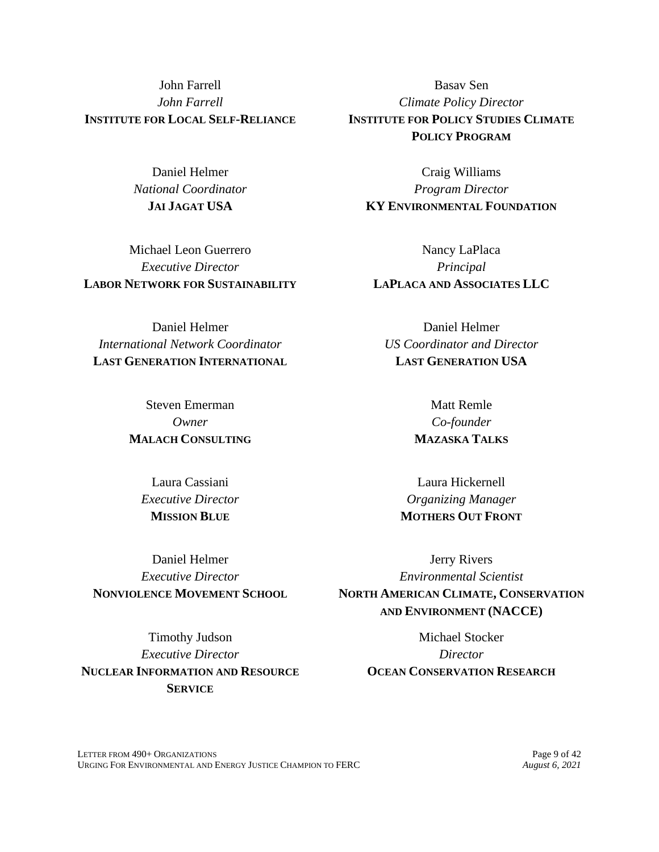John Farrell *John Farrell* **INSTITUTE FOR LOCAL SELF-RELIANCE**

> Daniel Helmer *National Coordinator* **JAI JAGAT USA**

Michael Leon Guerrero *Executive Director* **LABOR NETWORK FOR SUSTAINABILITY**

Daniel Helmer *International Network Coordinator* **LAST GENERATION INTERNATIONAL**

> Steven Emerman *Owner* **MALACH CONSULTING**

Laura Cassiani *Executive Director* **MISSION BLUE**

Daniel Helmer *Executive Director* **NONVIOLENCE MOVEMENT SCHOOL**

Timothy Judson *Executive Director* **NUCLEAR INFORMATION AND RESOURCE SERVICE**

Basav Sen *Climate Policy Director* **INSTITUTE FOR POLICY STUDIES CLIMATE POLICY PROGRAM**

Craig Williams *Program Director* **KY ENVIRONMENTAL FOUNDATION**

Nancy LaPlaca *Principal* **LAPLACA AND ASSOCIATES LLC**

Daniel Helmer *US Coordinator and Director* **LAST GENERATION USA**

> Matt Remle *Co-founder* **MAZASKA TALKS**

Laura Hickernell *Organizing Manager* **MOTHERS OUT FRONT**

Jerry Rivers *Environmental Scientist* **NORTH AMERICAN CLIMATE, CONSERVATION AND ENVIRONMENT (NACCE)**

> Michael Stocker *Director* **OCEAN CONSERVATION RESEARCH**

LETTER FROM 490+ ORGANIZATIONS Page 9 of 42<br>
URGING FOR ENVIRONMENTAL AND ENERGY JUSTICE CHAMPION TO FERC *August 6. 2021* URGING FOR ENVIRONMENTAL AND ENERGY JUSTICE CHAMPION TO FERC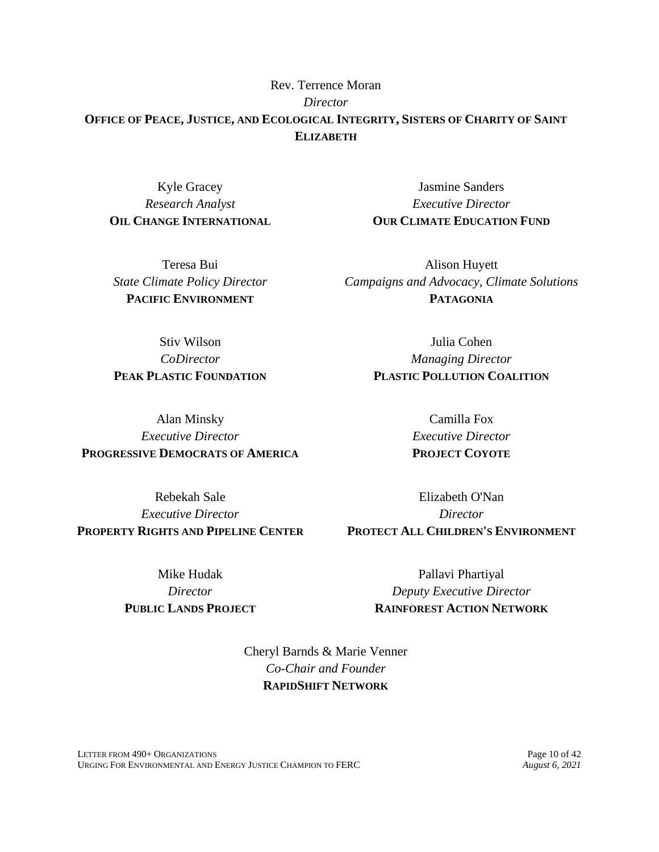Rev. Terrence Moran *Director* **OFFICE OF PEACE, JUSTICE, AND ECOLOGICAL INTEGRITY, SISTERS OF CHARITY OF SAINT ELIZABETH**

Kyle Gracey *Research Analyst* **OIL CHANGE INTERNATIONAL**

Teresa Bui *State Climate Policy Director* **PACIFIC ENVIRONMENT**

Jasmine Sanders *Executive Director* **OUR CLIMATE EDUCATION FUND**

Alison Huyett *Campaigns and Advocacy, Climate Solutions* **PATAGONIA**

Stiv Wilson *CoDirector* **PEAK PLASTIC FOUNDATION**

Alan Minsky *Executive Director* **PROGRESSIVE DEMOCRATS OF AMERICA**

Rebekah Sale *Executive Director* **PROPERTY RIGHTS AND PIPELINE CENTER**

> Mike Hudak *Director* **PUBLIC LANDS PROJECT**

Julia Cohen *Managing Director* **PLASTIC POLLUTION COALITION**

> Camilla Fox *Executive Director* **PROJECT COYOTE**

Elizabeth O'Nan *Director* **PROTECT ALL CHILDREN'S ENVIRONMENT**

> Pallavi Phartiyal *Deputy Executive Director* **RAINFOREST ACTION NETWORK**

Cheryl Barnds & Marie Venner *Co-Chair and Founder* **RAPIDSHIFT NETWORK**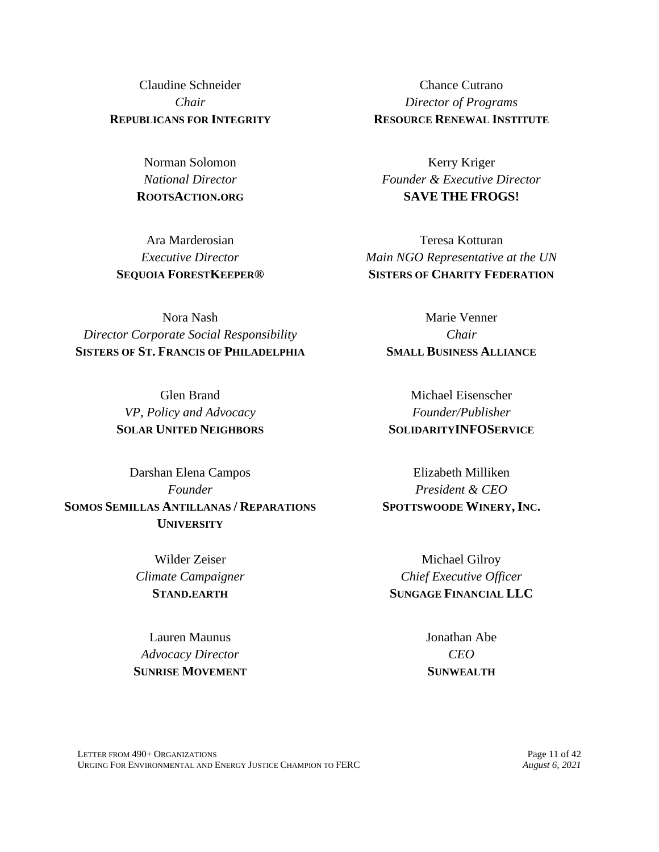Claudine Schneider *Chair* **REPUBLICANS FOR INTEGRITY**

> Norman Solomon *National Director* **ROOTSACTION.ORG**

Ara Marderosian *Executive Director* **SEQUOIA FORESTKEEPER®**

Nora Nash *Director Corporate Social Responsibility* **SISTERS OF ST. FRANCIS OF PHILADELPHIA**

> Glen Brand *VP, Policy and Advocacy* **SOLAR UNITED NEIGHBORS**

Darshan Elena Campos *Founder* **SOMOS SEMILLAS ANTILLANAS / REPARATIONS UNIVERSITY**

> Wilder Zeiser *Climate Campaigner* **STAND.EARTH**

Lauren Maunus *Advocacy Director* **SUNRISE MOVEMENT**

Chance Cutrano *Director of Programs* **RESOURCE RENEWAL INSTITUTE**

Kerry Kriger *Founder & Executive Director* **SAVE THE FROGS!**

Teresa Kotturan *Main NGO Representative at the UN* **SISTERS OF CHARITY FEDERATION**

Marie Venner *Chair* **SMALL BUSINESS ALLIANCE**

Michael Eisenscher *Founder/Publisher* **SOLIDARITYINFOSERVICE**

Elizabeth Milliken *President & CEO* **SPOTTSWOODE WINERY, INC.**

Michael Gilroy *Chief Executive Officer* **SUNGAGE FINANCIAL LLC**

> Jonathan Abe *CEO* **SUNWEALTH**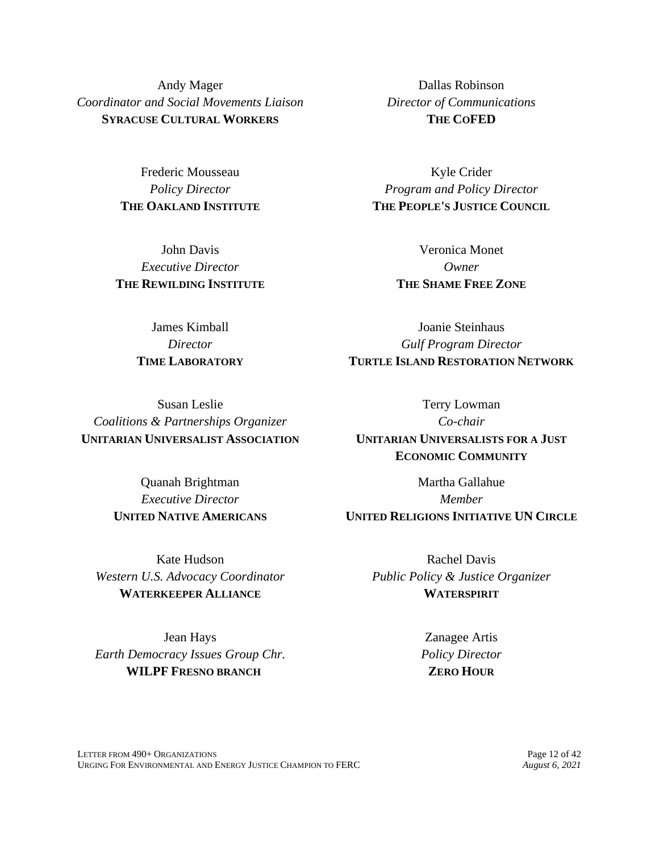Andy Mager *Coordinator and Social Movements Liaison* **SYRACUSE CULTURAL WORKERS**

> Frederic Mousseau *Policy Director* **THE OAKLAND INSTITUTE**

John Davis *Executive Director* **THE REWILDING INSTITUTE**

> James Kimball *Director* **TIME LABORATORY**

Dallas Robinson *Director of Communications* **THE COFED**

Kyle Crider *Program and Policy Director* **THE PEOPLE'S JUSTICE COUNCIL**

> Veronica Monet *Owner* **THE SHAME FREE ZONE**

Joanie Steinhaus *Gulf Program Director* **TURTLE ISLAND RESTORATION NETWORK**

Susan Leslie *Coalitions & Partnerships Organizer* **UNITARIAN UNIVERSALIST ASSOCIATION**

> Quanah Brightman *Executive Director* **UNITED NATIVE AMERICANS**

Terry Lowman *Co-chair* **UNITARIAN UNIVERSALISTS FOR A JUST ECONOMIC COMMUNITY**

Martha Gallahue *Member* **UNITED RELIGIONS INITIATIVE UN CIRCLE**

Kate Hudson *Western U.S. Advocacy Coordinator* **WATERKEEPER ALLIANCE**

Jean Hays *Earth Democracy Issues Group Chr.* **WILPF FRESNO BRANCH**

Rachel Davis *Public Policy & Justice Organizer* **WATERSPIRIT**

> Zanagee Artis *Policy Director* **ZERO HOUR**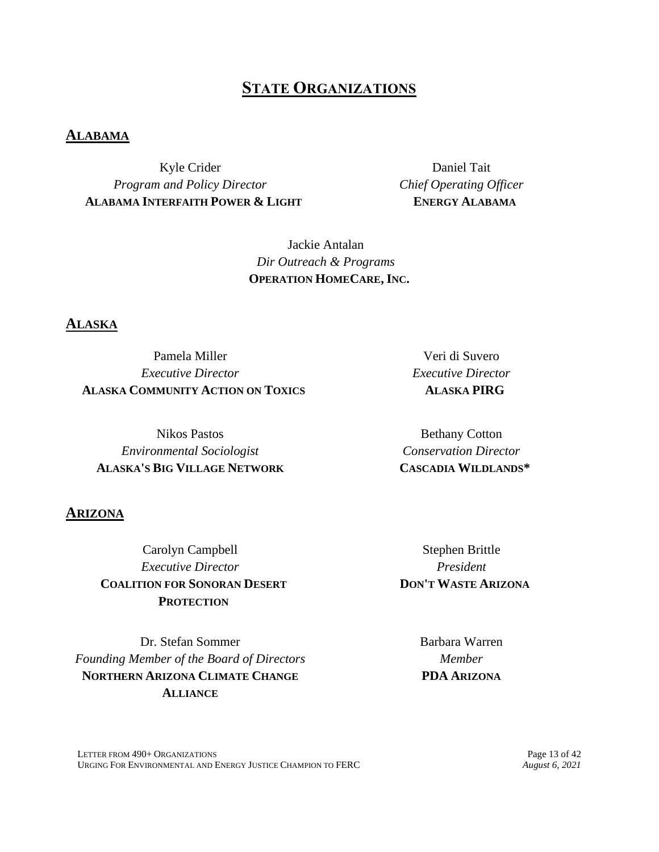# **STATE ORGANIZATIONS**

#### **ALABAMA**

Kyle Crider *Program and Policy Director* **ALABAMA INTERFAITH POWER & LIGHT**

Daniel Tait *Chief Operating Officer* **ENERGY ALABAMA**

Jackie Antalan *Dir Outreach & Programs* **OPERATION HOMECARE, INC.**

#### **ALASKA**

Pamela Miller *Executive Director* **ALASKA COMMUNITY ACTION ON TOXICS**

Nikos Pastos *Environmental Sociologist* **ALASKA'S BIG VILLAGE NETWORK**

#### **ARIZONA**

Carolyn Campbell *Executive Director* **COALITION FOR SONORAN DESERT PROTECTION**

Dr. Stefan Sommer *Founding Member of the Board of Directors* **NORTHERN ARIZONA CLIMATE CHANGE ALLIANCE**

Veri di Suvero *Executive Director* **ALASKA PIRG**

Bethany Cotton *Conservation Director* **CASCADIA WILDLANDS\***

Stephen Brittle *President* **DON'T WASTE ARIZONA**

> Barbara Warren *Member* **PDA ARIZONA**

LETTER FROM 490+ ORGANIZATIONS<br>
URGING FOR ENVIRONMENTAL AND ENERGY JUSTICE CHAMPION TO FERC *August 6, 2021* URGING FOR ENVIRONMENTAL AND ENERGY JUSTICE CHAMPION TO FERC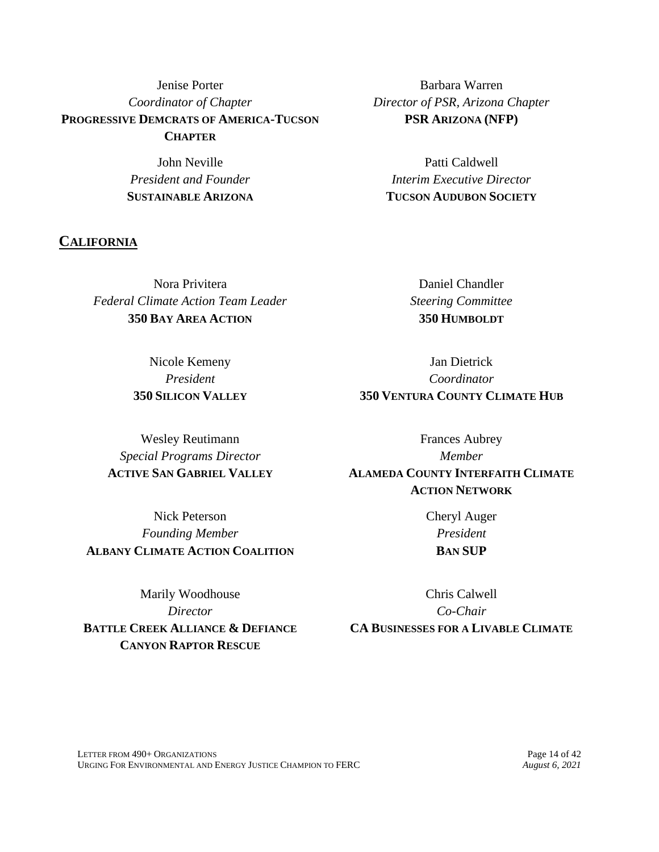Jenise Porter *Coordinator of Chapter* **PROGRESSIVE DEMCRATS OF AMERICA-TUCSON CHAPTER**

> John Neville *President and Founder* **SUSTAINABLE ARIZONA**

**CALIFORNIA**

Nora Privitera *Federal Climate Action Team Leader* **350 BAY AREA ACTION**

> Nicole Kemeny *President* **350 SILICON VALLEY**

Barbara Warren *Director of PSR, Arizona Chapter* **PSR ARIZONA (NFP)**

Patti Caldwell *Interim Executive Director* **TUCSON AUDUBON SOCIETY**

> Daniel Chandler *Steering Committee* **350 HUMBOLDT**

Jan Dietrick *Coordinator* **350 VENTURA COUNTY CLIMATE HUB**

Wesley Reutimann *Special Programs Director* **ACTIVE SAN GABRIEL VALLEY**

Frances Aubrey *Member* **ALAMEDA COUNTY INTERFAITH CLIMATE ACTION NETWORK**

Nick Peterson *Founding Member* **ALBANY CLIMATE ACTION COALITION**

Marily Woodhouse *Director* **BATTLE CREEK ALLIANCE & DEFIANCE CANYON RAPTOR RESCUE**

Cheryl Auger *President* **BAN SUP**

Chris Calwell *Co-Chair* **CA BUSINESSES FOR A LIVABLE CLIMATE**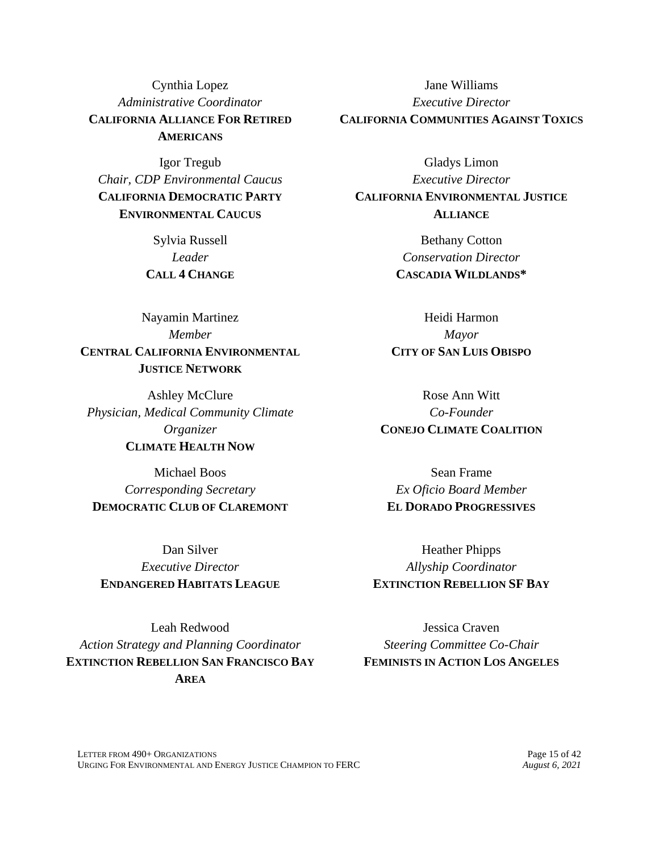Cynthia Lopez *Administrative Coordinator* **CALIFORNIA ALLIANCE FOR RETIRED AMERICANS**

Igor Tregub *Chair, CDP Environmental Caucus* **CALIFORNIA DEMOCRATIC PARTY ENVIRONMENTAL CAUCUS**

> Sylvia Russell *Leader* **CALL 4 CHANGE**

Nayamin Martinez *Member* **CENTRAL CALIFORNIA ENVIRONMENTAL JUSTICE NETWORK**

Ashley McClure *Physician, Medical Community Climate Organizer* **CLIMATE HEALTH NOW**

Michael Boos *Corresponding Secretary* **DEMOCRATIC CLUB OF CLAREMONT**

Dan Silver *Executive Director* **ENDANGERED HABITATS LEAGUE**

Leah Redwood *Action Strategy and Planning Coordinator* **EXTINCTION REBELLION SAN FRANCISCO BAY AREA**

Jane Williams *Executive Director* **CALIFORNIA COMMUNITIES AGAINST TOXICS**

Gladys Limon *Executive Director* **CALIFORNIA ENVIRONMENTAL JUSTICE ALLIANCE**

> Bethany Cotton *Conservation Director* **CASCADIA WILDLANDS\***

Heidi Harmon *Mayor* **CITY OF SAN LUIS OBISPO**

Rose Ann Witt *Co-Founder* **CONEJO CLIMATE COALITION**

Sean Frame *Ex Oficio Board Member* **EL DORADO PROGRESSIVES**

Heather Phipps *Allyship Coordinator* **EXTINCTION REBELLION SF BAY**

Jessica Craven *Steering Committee Co-Chair* **FEMINISTS IN ACTION LOS ANGELES**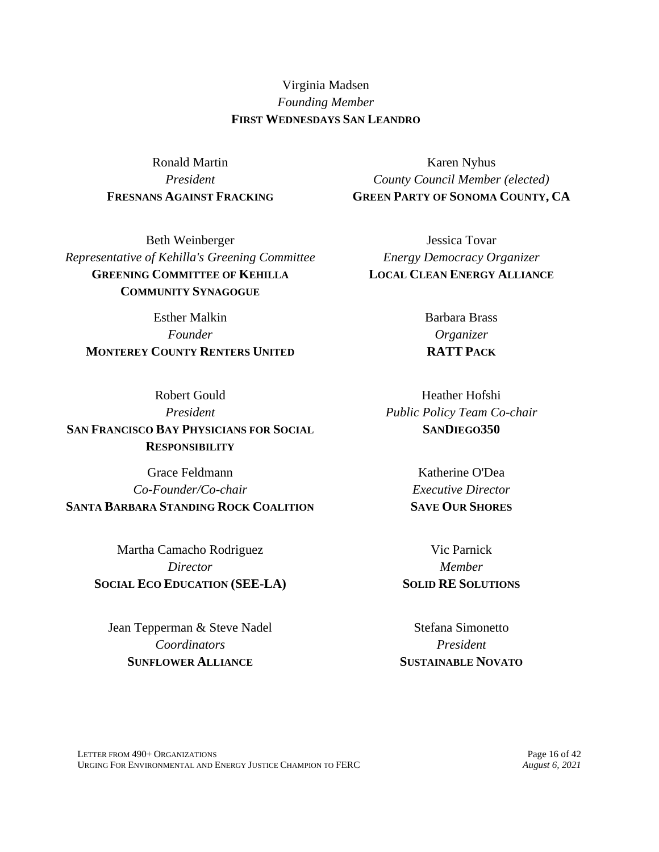Virginia Madsen *Founding Member* **FIRST WEDNESDAYS SAN LEANDRO**

Ronald Martin *President* **FRESNANS AGAINST FRACKING**

Beth Weinberger *Representative of Kehilla's Greening Committee* **GREENING COMMITTEE OF KEHILLA COMMUNITY SYNAGOGUE**

Esther Malkin *Founder* **MONTEREY COUNTY RENTERS UNITED**

Robert Gould *President* **SAN FRANCISCO BAY PHYSICIANS FOR SOCIAL RESPONSIBILITY**

Grace Feldmann *Co-Founder/Co-chair* **SANTA BARBARA STANDING ROCK COALITION**

> Martha Camacho Rodriguez *Director* **SOCIAL ECO EDUCATION (SEE-LA)**

Jean Tepperman & Steve Nadel *Coordinators* **SUNFLOWER ALLIANCE**

Karen Nyhus *County Council Member (elected)* **GREEN PARTY OF SONOMA COUNTY, CA**

Jessica Tovar *Energy Democracy Organizer* **LOCAL CLEAN ENERGY ALLIANCE**

> Barbara Brass *Organizer* **RATT PACK**

Heather Hofshi *Public Policy Team Co-chair* **SANDIEGO350**

> Katherine O'Dea *Executive Director* **SAVE OUR SHORES**

Vic Parnick *Member* **SOLID RE SOLUTIONS**

Stefana Simonetto *President* **SUSTAINABLE NOVATO**

LETTER FROM 490+ ORGANIZATIONS<br>
URGING FOR ENVIRONMENTAL AND ENERGY JUSTICE CHAMPION TO FERC *August 6, 2021* URGING FOR ENVIRONMENTAL AND ENERGY JUSTICE CHAMPION TO FERC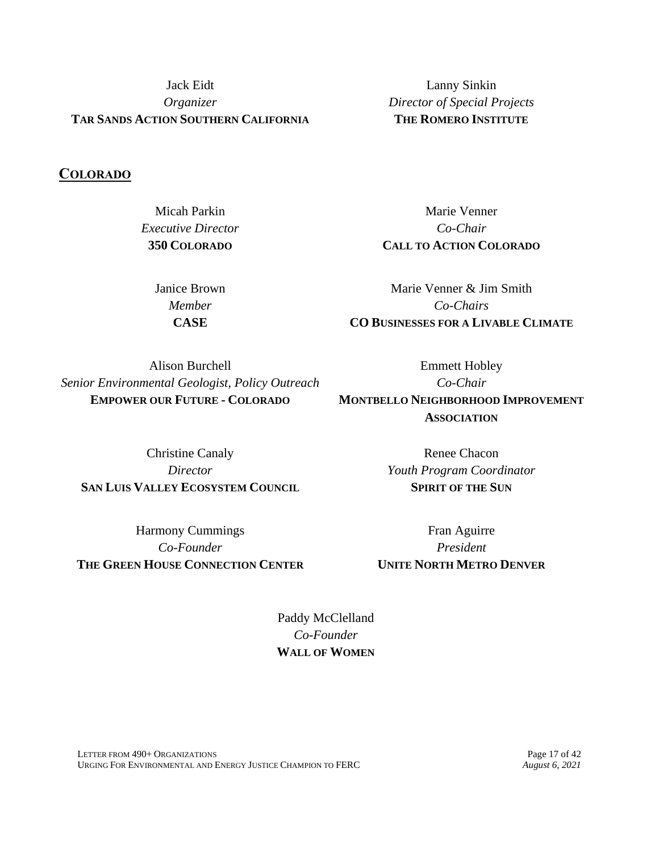Jack Eidt *Organizer* **TAR SANDS ACTION SOUTHERN CALIFORNIA**

**COLORADO**

Micah Parkin *Executive Director* **350 COLORADO**

> Janice Brown *Member* **CASE**

Lanny Sinkin *Director of Special Projects* **THE ROMERO INSTITUTE**

Marie Venner *Co-Chair* **CALL TO ACTION COLORADO**

Marie Venner & Jim Smith *Co-Chairs* **CO BUSINESSES FOR A LIVABLE CLIMATE**

Alison Burchell *Senior Environmental Geologist, Policy Outreach* **EMPOWER OUR FUTURE - COLORADO**

Christine Canaly *Director* **SAN LUIS VALLEY ECOSYSTEM COUNCIL**

Harmony Cummings *Co-Founder* **THE GREEN HOUSE CONNECTION CENTER**

Emmett Hobley *Co-Chair* **MONTBELLO NEIGHBORHOOD IMPROVEMENT ASSOCIATION**

> Renee Chacon *Youth Program Coordinator* **SPIRIT OF THE SUN**

Fran Aguirre *President* **UNITE NORTH METRO DENVER**

Paddy McClelland *Co-Founder* **WALL OF WOMEN**

LETTER FROM 490+ ORGANIZATIONS<br>
URGING FOR ENVIRONMENTAL AND ENERGY JUSTICE CHAMPION TO FERC *August 6, 2021* URGING FOR ENVIRONMENTAL AND ENERGY JUSTICE CHAMPION TO FERC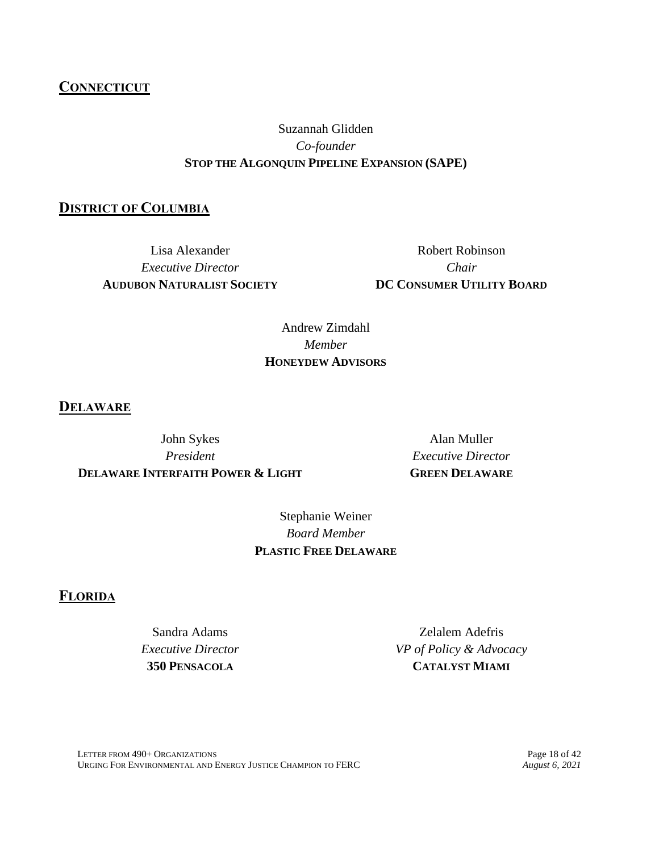#### LETTER FROM 490+ ORGANIZATIONS<br>
URGING FOR ENVIRONMENTAL AND ENERGY JUSTICE CHAMPION TO FERC *August 6, 2021* URGING FOR ENVIRONMENTAL AND ENERGY JUSTICE CHAMPION TO FERC

# **CONNECTICUT**

# Suzannah Glidden *Co-founder* **STOP THE ALGONQUIN PIPELINE EXPANSION (SAPE)**

## **DISTRICT OF COLUMBIA**

Lisa Alexander *Executive Director* **AUDUBON NATURALIST SOCIETY**

Robert Robinson *Chair* **DC CONSUMER UTILITY BOARD**

Andrew Zimdahl *Member* **HONEYDEW ADVISORS**

**DELAWARE**

John Sykes *President* **DELAWARE INTERFAITH POWER & LIGHT**

Alan Muller *Executive Director* **GREEN DELAWARE**

Stephanie Weiner *Board Member* **PLASTIC FREE DELAWARE**

# **FLORIDA**

Sandra Adams *Executive Director* **350 PENSACOLA**

Zelalem Adefris *VP of Policy & Advocacy* **CATALYST MIAMI**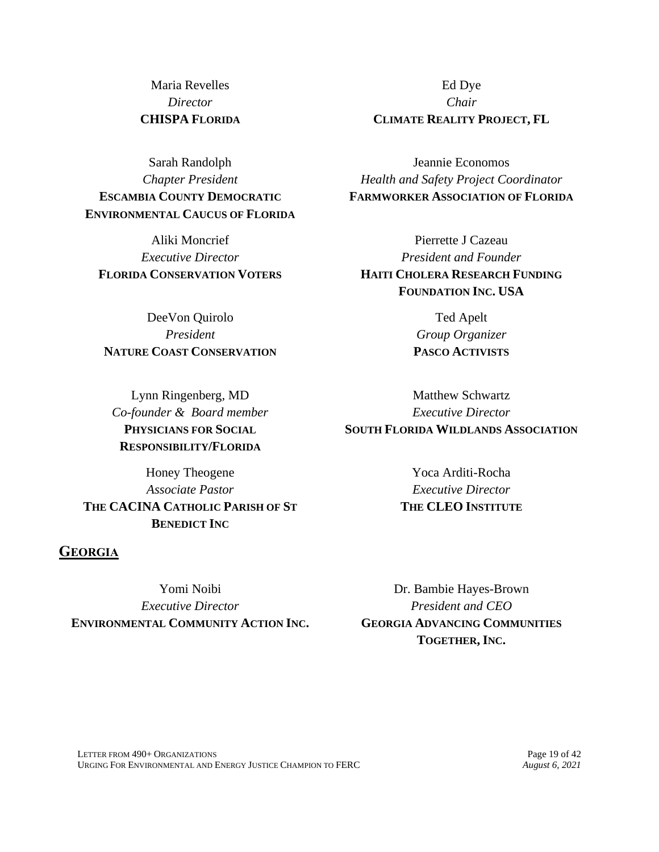Maria Revelles *Director* **CHISPA FLORIDA**

Sarah Randolph *Chapter President* **ESCAMBIA COUNTY DEMOCRATIC ENVIRONMENTAL CAUCUS OF FLORIDA**

Aliki Moncrief *Executive Director* **FLORIDA CONSERVATION VOTERS**

DeeVon Quirolo *President* **NATURE COAST CONSERVATION**

Lynn Ringenberg, MD *Co-founder & Board member* **PHYSICIANS FOR SOCIAL RESPONSIBILITY/FLORIDA**

Honey Theogene *Associate Pastor* **THE CACINA CATHOLIC PARISH OF ST BENEDICT INC**

### **GEORGIA**

Yomi Noibi *Executive Director* **ENVIRONMENTAL COMMUNITY ACTION INC.**

Ed Dye *Chair* **CLIMATE REALITY PROJECT, FL**

Jeannie Economos *Health and Safety Project Coordinator* **FARMWORKER ASSOCIATION OF FLORIDA**

Pierrette J Cazeau *President and Founder* **HAITI CHOLERA RESEARCH FUNDING FOUNDATION INC. USA**

> Ted Apelt *Group Organizer* **PASCO ACTIVISTS**

Matthew Schwartz *Executive Director* **SOUTH FLORIDA WILDLANDS ASSOCIATION**

> Yoca Arditi-Rocha *Executive Director* **THE CLEO INSTITUTE**

Dr. Bambie Hayes-Brown *President and CEO* **GEORGIA ADVANCING COMMUNITIES TOGETHER, INC.**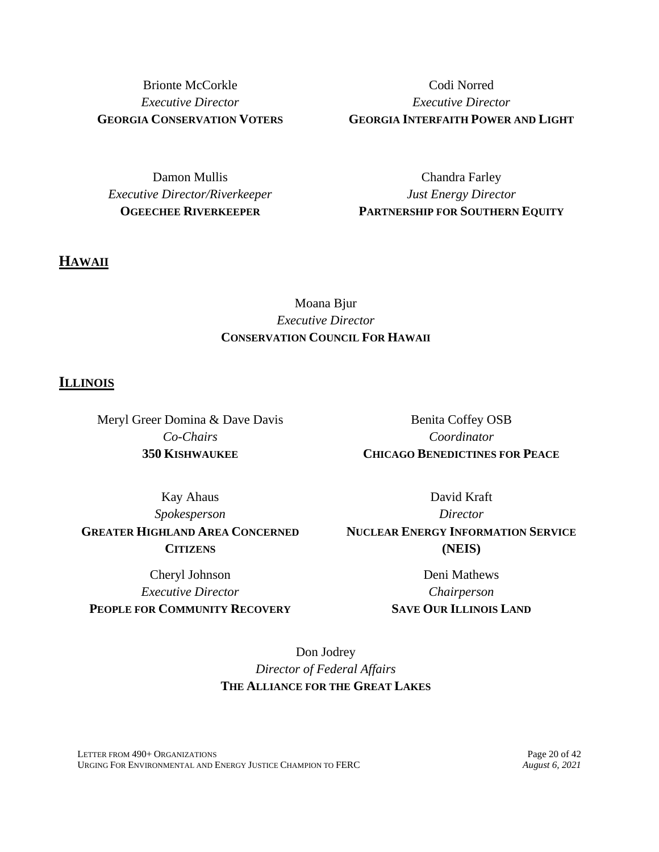Brionte McCorkle *Executive Director* **GEORGIA CONSERVATION VOTERS**

Codi Norred *Executive Director* **GEORGIA INTERFAITH POWER AND LIGHT**

Damon Mullis *Executive Director/Riverkeeper* **OGEECHEE RIVERKEEPER**

Chandra Farley *Just Energy Director* **PARTNERSHIP FOR SOUTHERN EQUITY**

## **HAWAII**

# Moana Bjur *Executive Director* **CONSERVATION COUNCIL FOR HAWAII**

#### **ILLINOIS**

Meryl Greer Domina & Dave Davis *Co-Chairs* **350 KISHWAUKEE**

Benita Coffey OSB *Coordinator* **CHICAGO BENEDICTINES FOR PEACE**

Kay Ahaus *Spokesperson* **GREATER HIGHLAND AREA CONCERNED CITIZENS**

Cheryl Johnson *Executive Director* **PEOPLE FOR COMMUNITY RECOVERY**

David Kraft *Director* **NUCLEAR ENERGY INFORMATION SERVICE (NEIS)**

> Deni Mathews *Chairperson* **SAVE OUR ILLINOIS LAND**

Don Jodrey *Director of Federal Affairs* **THE ALLIANCE FOR THE GREAT LAKES**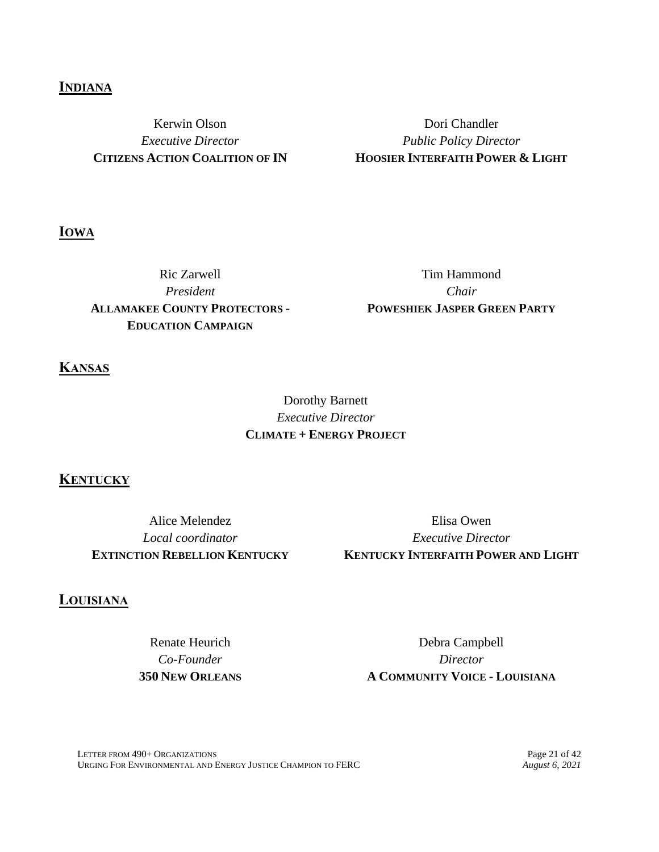### **INDIANA**

Kerwin Olson *Executive Director* **CITIZENS ACTION COALITION OF IN**

Dori Chandler *Public Policy Director* **HOOSIER INTERFAITH POWER & LIGHT**

**IOWA**

Ric Zarwell *President* **ALLAMAKEE COUNTY PROTECTORS - EDUCATION CAMPAIGN**

Tim Hammond *Chair* **POWESHIEK JASPER GREEN PARTY**

**KANSAS**

# Dorothy Barnett *Executive Director* **CLIMATE + ENERGY PROJECT**

### **KENTUCKY**

Alice Melendez *Local coordinator* **EXTINCTION REBELLION KENTUCKY**

Elisa Owen *Executive Director* **KENTUCKY INTERFAITH POWER AND LIGHT**

### **LOUISIANA**

Renate Heurich *Co-Founder* **350 NEW ORLEANS**

Debra Campbell *Director* **A COMMUNITY VOICE - LOUISIANA**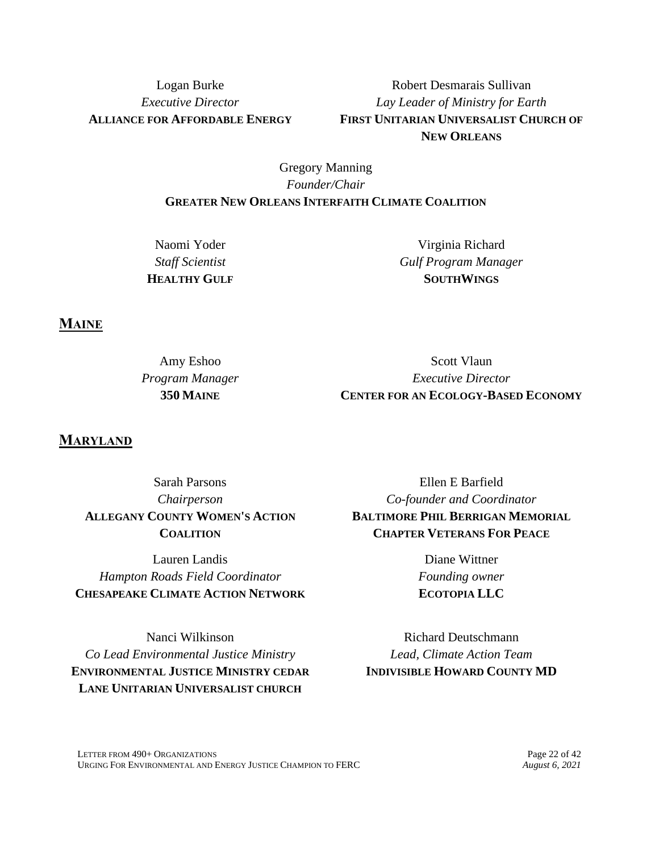Logan Burke *Executive Director* **ALLIANCE FOR AFFORDABLE ENERGY**

Robert Desmarais Sullivan *Lay Leader of Ministry for Earth* **FIRST UNITARIAN UNIVERSALIST CHURCH OF NEW ORLEANS**

### Gregory Manning *Founder/Chair* **GREATER NEW ORLEANS INTERFAITH CLIMATE COALITION**

Naomi Yoder *Staff Scientist* **HEALTHY GULF**

Virginia Richard *Gulf Program Manager* **SOUTHWINGS**

**MAINE**

| Amy Eshoo       | Scott Vlaun                                |
|-----------------|--------------------------------------------|
| Program Manager | <i>Executive Director</i>                  |
| 350 MAINE       | <b>CENTER FOR AN ECOLOGY-BASED ECONOMY</b> |

**MARYLAND**

Sarah Parsons *Chairperson* **ALLEGANY COUNTY WOMEN'S ACTION COALITION**

Lauren Landis *Hampton Roads Field Coordinator* **CHESAPEAKE CLIMATE ACTION NETWORK**

Nanci Wilkinson *Co Lead Environmental Justice Ministry* **ENVIRONMENTAL JUSTICE MINISTRY CEDAR LANE UNITARIAN UNIVERSALIST CHURCH**

Ellen E Barfield *Co-founder and Coordinator* **BALTIMORE PHIL BERRIGAN MEMORIAL CHAPTER VETERANS FOR PEACE**

> Diane Wittner *Founding owner* **ECOTOPIA LLC**

Richard Deutschmann *Lead, Climate Action Team* **INDIVISIBLE HOWARD COUNTY MD**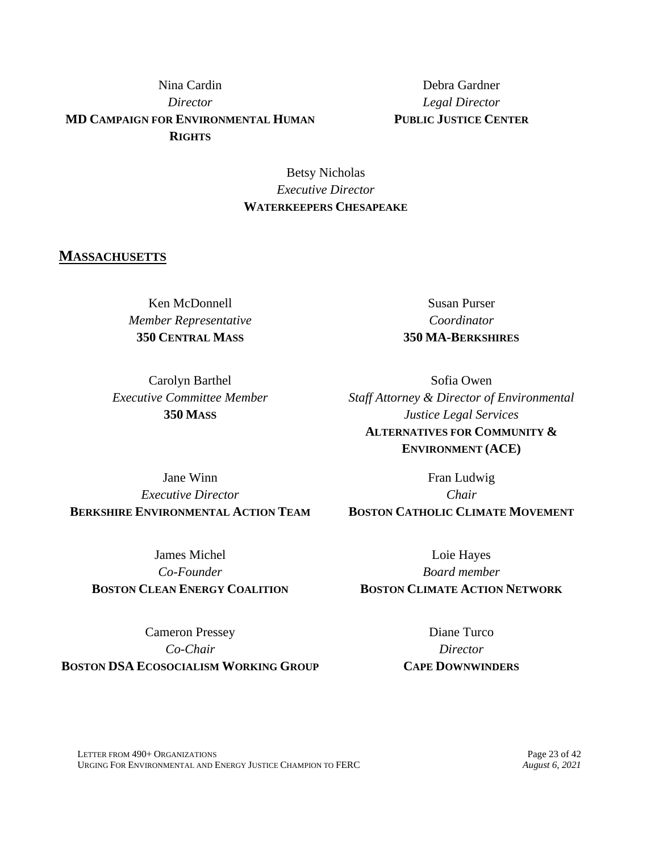# Nina Cardin *Director* **MD CAMPAIGN FOR ENVIRONMENTAL HUMAN RIGHTS**

Debra Gardner *Legal Director* **PUBLIC JUSTICE CENTER**

### Betsy Nicholas *Executive Director* **WATERKEEPERS CHESAPEAKE**

### **MASSACHUSETTS**

Ken McDonnell *Member Representative* **350 CENTRAL MASS**

Susan Purser *Coordinator* **350 MA-BERKSHIRES**

Carolyn Barthel *Executive Committee Member* **350 MASS**

Sofia Owen *Staff Attorney & Director of Environmental Justice Legal Services* **ALTERNATIVES FOR COMMUNITY & ENVIRONMENT (ACE)**

Jane Winn *Executive Director* **BERKSHIRE ENVIRONMENTAL ACTION TEAM**

James Michel *Co-Founder* **BOSTON CLEAN ENERGY COALITION**

Fran Ludwig *Chair* **BOSTON CATHOLIC CLIMATE MOVEMENT**

Loie Hayes *Board member* **BOSTON CLIMATE ACTION NETWORK**

Cameron Pressey *Co-Chair* **BOSTON DSA ECOSOCIALISM WORKING GROUP**

Diane Turco *Director* **CAPE DOWNWINDERS**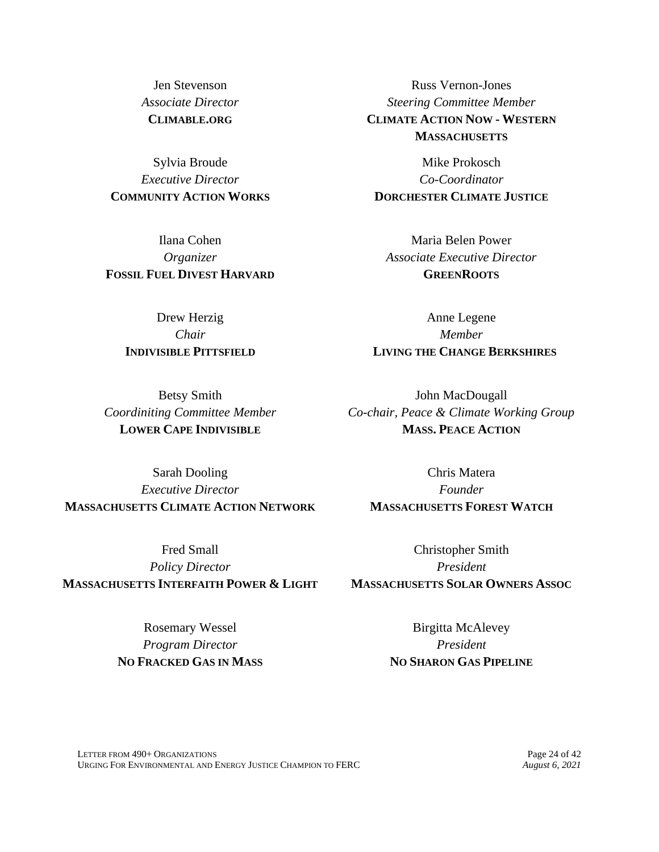Jen Stevenson *Associate Director* **CLIMABLE.ORG**

Sylvia Broude *Executive Director* **COMMUNITY ACTION WORKS**

Ilana Cohen *Organizer* **FOSSIL FUEL DIVEST HARVARD**

> Drew Herzig *Chair* **INDIVISIBLE PITTSFIELD**

Betsy Smith *Coordiniting Committee Member* **LOWER CAPE INDIVISIBLE**

Sarah Dooling *Executive Director* **MASSACHUSETTS CLIMATE ACTION NETWORK**

Fred Small *Policy Director* **MASSACHUSETTS INTERFAITH POWER & LIGHT**

> Rosemary Wessel *Program Director* **NO FRACKED GAS IN MASS**

Russ Vernon-Jones *Steering Committee Member* **CLIMATE ACTION NOW - WESTERN MASSACHUSETTS**

Mike Prokosch *Co-Coordinator* **DORCHESTER CLIMATE JUSTICE**

Maria Belen Power *Associate Executive Director* **GREENROOTS**

Anne Legene *Member* **LIVING THE CHANGE BERKSHIRES**

John MacDougall *Co-chair, Peace & Climate Working Group* **MASS. PEACE ACTION**

Chris Matera *Founder* **MASSACHUSETTS FOREST WATCH**

Christopher Smith *President* **MASSACHUSETTS SOLAR OWNERS ASSOC**

> Birgitta McAlevey *President* **NO SHARON GAS PIPELINE**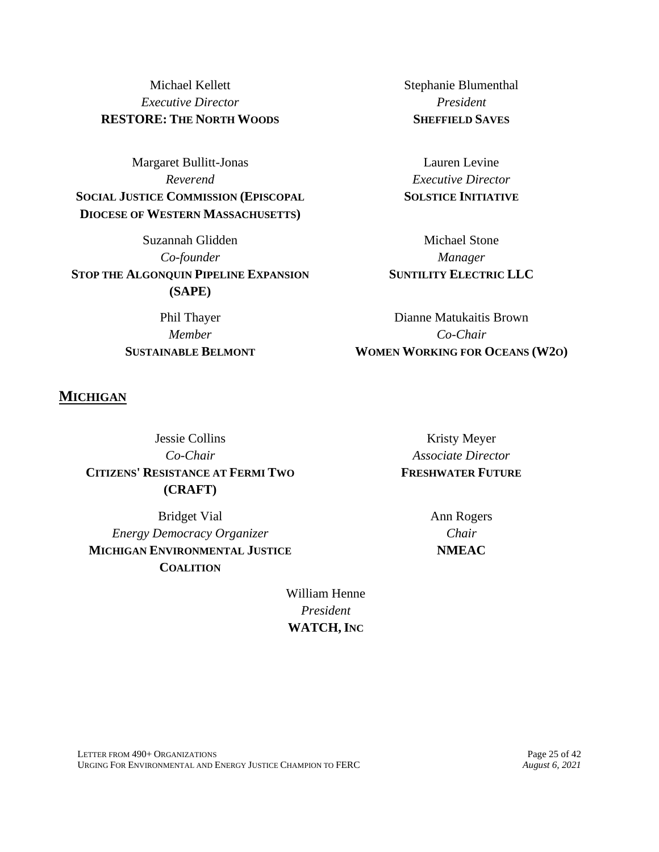Michael Kellett *Executive Director* **RESTORE: THE NORTH WOODS**

Margaret Bullitt-Jonas *Reverend* **SOCIAL JUSTICE COMMISSION (EPISCOPAL DIOCESE OF WESTERN MASSACHUSETTS)**

Suzannah Glidden *Co-founder* **STOP THE ALGONQUIN PIPELINE EXPANSION (SAPE)**

> Phil Thayer *Member* **SUSTAINABLE BELMONT**

Stephanie Blumenthal *President* **SHEFFIELD SAVES**

Lauren Levine *Executive Director* **SOLSTICE INITIATIVE**

Michael Stone *Manager* **SUNTILITY ELECTRIC LLC**

Dianne Matukaitis Brown *Co-Chair* **WOMEN WORKING FOR OCEANS (W2O)**

### **MICHIGAN**

Jessie Collins *Co-Chair* **CITIZENS' RESISTANCE AT FERMI TWO (CRAFT)**

Bridget Vial *Energy Democracy Organizer* **MICHIGAN ENVIRONMENTAL JUSTICE COALITION**

Kristy Meyer *Associate Director* **FRESHWATER FUTURE**

> Ann Rogers *Chair* **NMEAC**

William Henne *President* **WATCH, INC**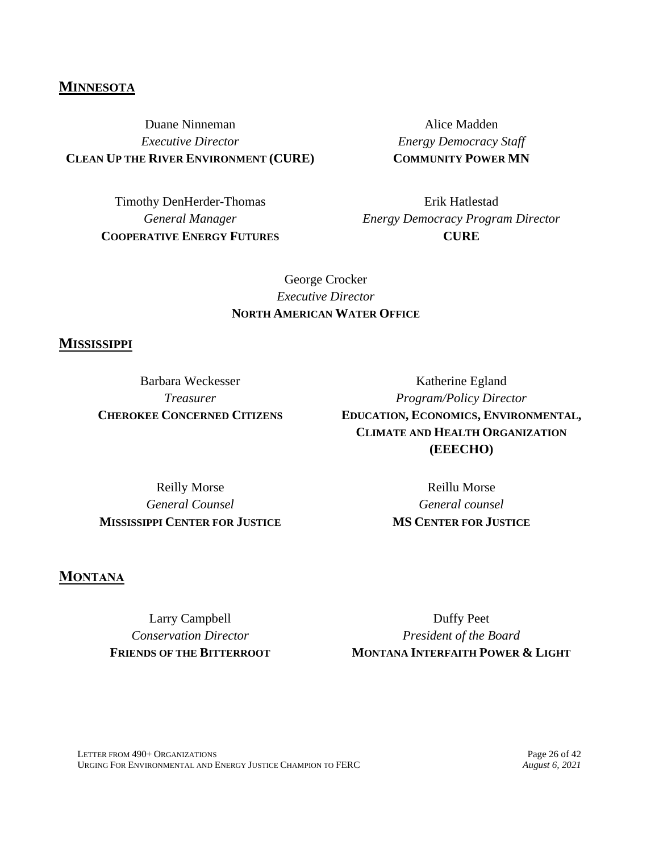### **MINNESOTA**

Duane Ninneman *Executive Director* **CLEAN UP THE RIVER ENVIRONMENT (CURE)**

> Timothy DenHerder-Thomas *General Manager* **COOPERATIVE ENERGY FUTURES**

Alice Madden *Energy Democracy Staff* **COMMUNITY POWER MN**

Erik Hatlestad *Energy Democracy Program Director* **CURE**

## George Crocker *Executive Director* **NORTH AMERICAN WATER OFFICE**

### **MISSISSIPPI**

Barbara Weckesser *Treasurer* **CHEROKEE CONCERNED CITIZENS**

Katherine Egland *Program/Policy Director* **EDUCATION, ECONOMICS, ENVIRONMENTAL, CLIMATE AND HEALTH ORGANIZATION (EEECHO)**

Reilly Morse *General Counsel* **MISSISSIPPI CENTER FOR JUSTICE**

Reillu Morse *General counsel* **MS CENTER FOR JUSTICE**

### **MONTANA**

Larry Campbell *Conservation Director* **FRIENDS OF THE BITTERROOT**

Duffy Peet *President of the Board* **MONTANA INTERFAITH POWER & LIGHT**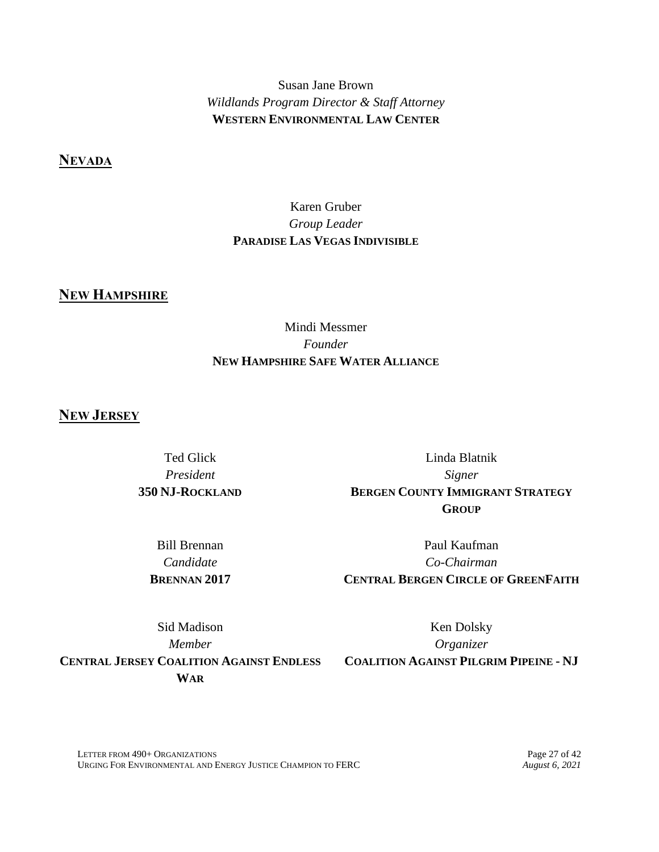Susan Jane Brown *Wildlands Program Director & Staff Attorney* **WESTERN ENVIRONMENTAL LAW CENTER**

**NEVADA**

## Karen Gruber *Group Leader* **PARADISE LAS VEGAS INDIVISIBLE**

# **NEW HAMPSHIRE**

## Mindi Messmer *Founder* **NEW HAMPSHIRE SAFE WATER ALLIANCE**

### **NEW JERSEY**

Ted Glick *President* **350 NJ-ROCKLAND**

Linda Blatnik *Signer* **BERGEN COUNTY IMMIGRANT STRATEGY GROUP**

Bill Brennan *Candidate* **BRENNAN 2017**

Paul Kaufman *Co-Chairman* **CENTRAL BERGEN CIRCLE OF GREENFAITH**

Sid Madison *Member* **CENTRAL JERSEY COALITION AGAINST ENDLESS WAR**

Ken Dolsky *Organizer*

**COALITION AGAINST PILGRIM PIPEINE - NJ**

LETTER FROM 490+ ORGANIZATIONS<br>
URGING FOR ENVIRONMENTAL AND ENERGY JUSTICE CHAMPION TO FERC *August 6, 2021* URGING FOR ENVIRONMENTAL AND ENERGY JUSTICE CHAMPION TO FERC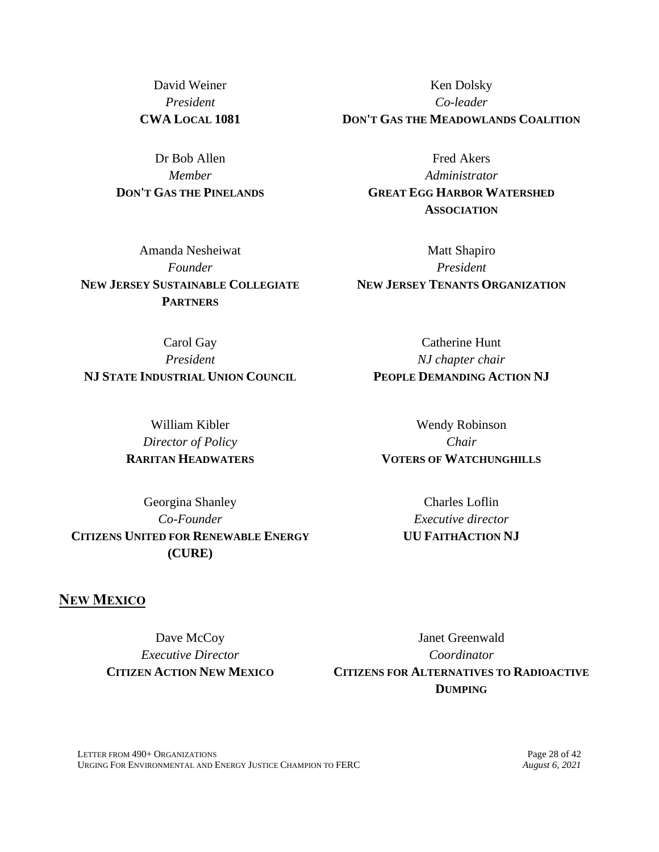David Weiner *President* **CWA LOCAL 1081**

Dr Bob Allen *Member* **DON'T GAS THE PINELANDS**

Amanda Nesheiwat *Founder* **NEW JERSEY SUSTAINABLE COLLEGIATE PARTNERS**

Ken Dolsky *Co-leader* **DON'T GAS THE MEADOWLANDS COALITION**

> Fred Akers *Administrator* **GREAT EGG HARBOR WATERSHED ASSOCIATION**

Matt Shapiro *President* **NEW JERSEY TENANTS ORGANIZATION**

> Catherine Hunt *NJ chapter chair*

Carol Gay *President* **NJ STATE INDUSTRIAL UNION COUNCIL PEOPLE DEMANDING ACTION NJ**

William Kibler *Director of Policy* **RARITAN HEADWATERS**

Georgina Shanley *Co-Founder* **CITIZENS UNITED FOR RENEWABLE ENERGY (CURE)**

Wendy Robinson *Chair* **VOTERS OF WATCHUNGHILLS**

> Charles Loflin *Executive director* **UU FAITHACTION NJ**

# **NEW MEXICO**

Dave McCoy *Executive Director* **CITIZEN ACTION NEW MEXICO**

Janet Greenwald *Coordinator* **CITIZENS FOR ALTERNATIVES TO RADIOACTIVE DUMPING**

LETTER FROM 490+ ORGANIZATIONS Page 28 of 42<br>
URGING FOR ENVIRONMENTAL AND ENERGY JUSTICE CHAMPION TO FERC *August 6. 2021* URGING FOR ENVIRONMENTAL AND ENERGY JUSTICE CHAMPION TO FERC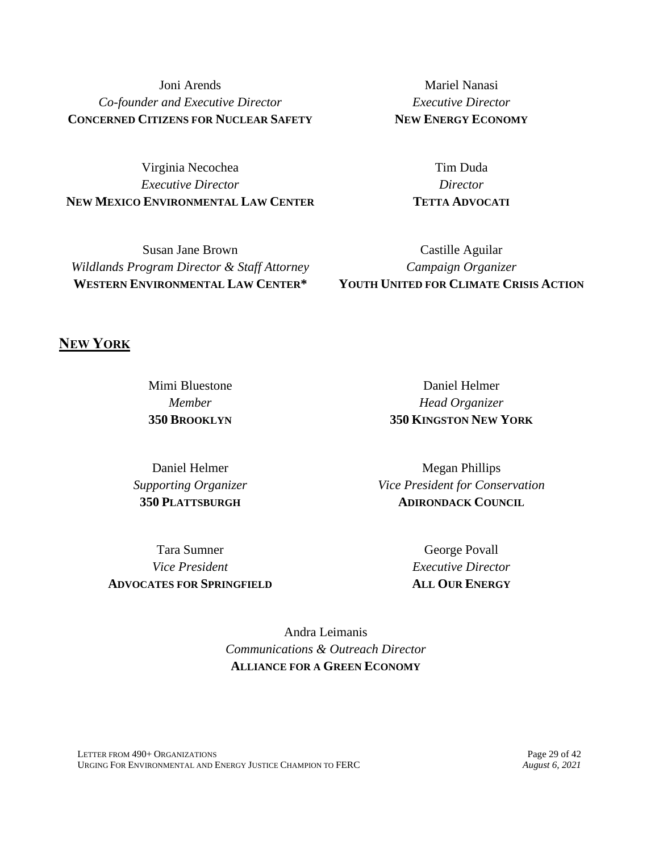Joni Arends *Co-founder and Executive Director* **CONCERNED CITIZENS FOR NUCLEAR SAFETY**

Virginia Necochea *Executive Director* **NEW MEXICO ENVIRONMENTAL LAW CENTER**

Susan Jane Brown *Wildlands Program Director & Staff Attorney* **WESTERN ENVIRONMENTAL LAW CENTER\***

Mariel Nanasi *Executive Director* **NEW ENERGY ECONOMY**

> Tim Duda *Director* **TETTA ADVOCATI**

Castille Aguilar *Campaign Organizer* **YOUTH UNITED FOR CLIMATE CRISIS ACTION**

### **NEW YORK**

Mimi Bluestone *Member* **350 BROOKLYN**

Daniel Helmer *Supporting Organizer* **350 PLATTSBURGH**

Tara Sumner *Vice President* **ADVOCATES FOR SPRINGFIELD**

Daniel Helmer *Head Organizer* **350 KINGSTON NEW YORK**

Megan Phillips *Vice President for Conservation* **ADIRONDACK COUNCIL**

> George Povall *Executive Director* **ALL OUR ENERGY**

Andra Leimanis *Communications & Outreach Director* **ALLIANCE FOR A GREEN ECONOMY**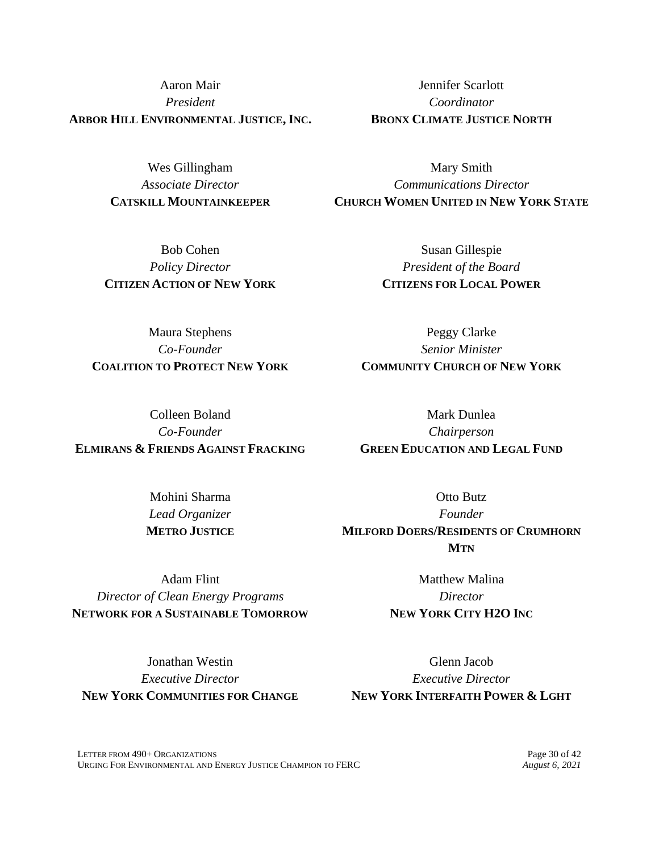Aaron Mair *President* **ARBOR HILL ENVIRONMENTAL JUSTICE, INC.**

> Wes Gillingham *Associate Director* **CATSKILL MOUNTAINKEEPER**

Bob Cohen *Policy Director* **CITIZEN ACTION OF NEW YORK**

Jennifer Scarlott *Coordinator* **BRONX CLIMATE JUSTICE NORTH**

Mary Smith *Communications Director* **CHURCH WOMEN UNITED IN NEW YORK STATE**

> Susan Gillespie *President of the Board* **CITIZENS FOR LOCAL POWER**

> > Peggy Clarke *Senior Minister*

Maura Stephens *Co-Founder* **COALITION TO PROTECT NEW YORK**

**COMMUNITY CHURCH OF NEW YORK** Mark Dunlea

Colleen Boland *Co-Founder* **ELMIRANS & FRIENDS AGAINST FRACKING**

> Mohini Sharma *Lead Organizer* **METRO JUSTICE**

Otto Butz *Founder* **MILFORD DOERS/RESIDENTS OF CRUMHORN MTN**

*Chairperson* **GREEN EDUCATION AND LEGAL FUND**

Adam Flint *Director of Clean Energy Programs* **NETWORK FOR A SUSTAINABLE TOMORROW**

Matthew Malina *Director* **NEW YORK CITY H2O INC**

Jonathan Westin *Executive Director* **NEW YORK COMMUNITIES FOR CHANGE**

Glenn Jacob *Executive Director* **NEW YORK INTERFAITH POWER & LGHT**

LETTER FROM 490+ ORGANIZATIONS Page 30 of 42<br>
URGING FOR ENVIRONMENTAL AND ENERGY JUSTICE CHAMPION TO FERC *August 6. 2021* URGING FOR ENVIRONMENTAL AND ENERGY JUSTICE CHAMPION TO FERC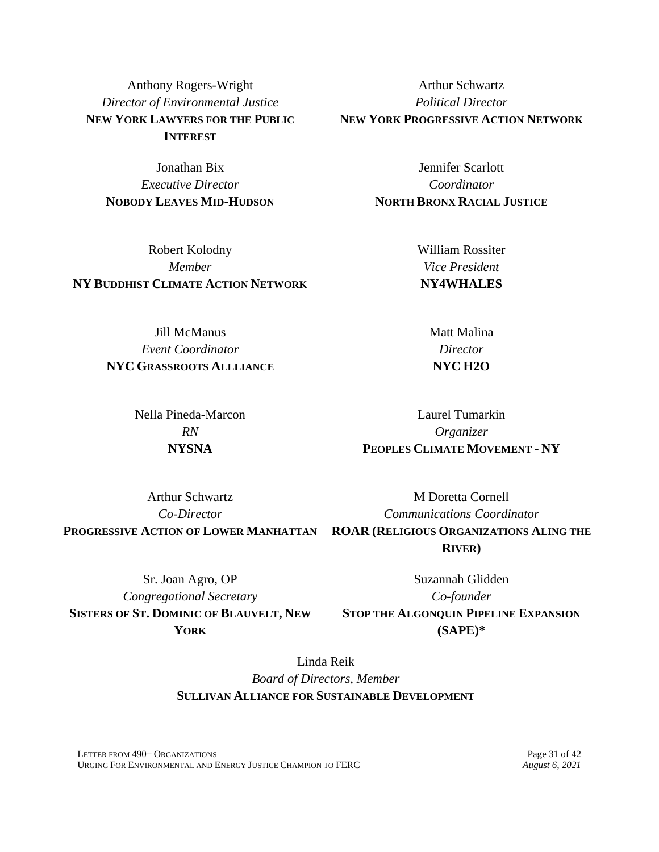Anthony Rogers-Wright *Director of Environmental Justice* **NEW YORK LAWYERS FOR THE PUBLIC INTEREST**

Jonathan Bix *Executive Director* **NOBODY LEAVES MID-HUDSON**

Robert Kolodny *Member* **NY BUDDHIST CLIMATE ACTION NETWORK**

Arthur Schwartz *Political Director* **NEW YORK PROGRESSIVE ACTION NETWORK**

> Jennifer Scarlott *Coordinator* **NORTH BRONX RACIAL JUSTICE**

> > William Rossiter *Vice President* **NY4WHALES**

Jill McManus *Event Coordinator* **NYC GRASSROOTS ALLLIANCE**

> Nella Pineda-Marcon *RN* **NYSNA**

**NYC H2O** Laurel Tumarkin

Matt Malina *Director*

*Organizer* **PEOPLES CLIMATE MOVEMENT - NY**

Arthur Schwartz *Co-Director* **PROGRESSIVE ACTION OF LOWER MANHATTAN ROAR (RELIGIOUS ORGANIZATIONS ALING THE**  M Doretta Cornell *Communications Coordinator* **RIVER)**

Sr. Joan Agro, OP *Congregational Secretary* **SISTERS OF ST. DOMINIC OF BLAUVELT, NEW YORK**

Suzannah Glidden *Co-founder* **STOP THE ALGONQUIN PIPELINE EXPANSION (SAPE)\***

Linda Reik *Board of Directors, Member* **SULLIVAN ALLIANCE FOR SUSTAINABLE DEVELOPMENT**

LETTER FROM 490+ ORGANIZATIONS Page 31 of 42<br>
URGING FOR ENVIRONMENTAL AND ENERGY JUSTICE CHAMPION TO FERC *August 6. 2021* URGING FOR ENVIRONMENTAL AND ENERGY JUSTICE CHAMPION TO FERC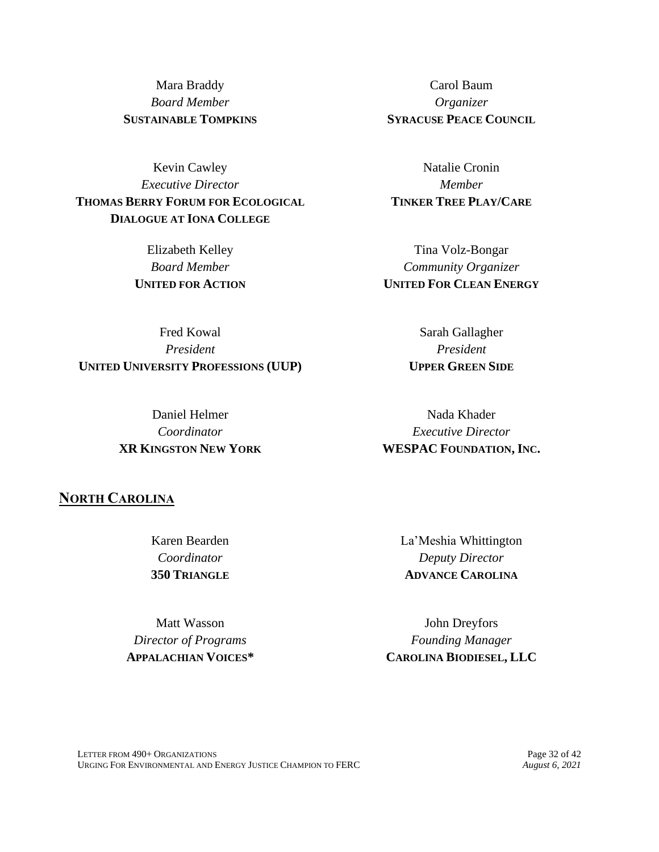Mara Braddy *Board Member* **SUSTAINABLE TOMPKINS**

Kevin Cawley *Executive Director* **THOMAS BERRY FORUM FOR ECOLOGICAL DIALOGUE AT IONA COLLEGE**

> Elizabeth Kelley *Board Member* **UNITED FOR ACTION**

Fred Kowal *President* **UNITED UNIVERSITY PROFESSIONS (UUP)**

> Daniel Helmer *Coordinator* **XR KINGSTON NEW YORK**

Carol Baum *Organizer* **SYRACUSE PEACE COUNCIL**

Natalie Cronin *Member* **TINKER TREE PLAY/CARE**

Tina Volz-Bongar *Community Organizer* **UNITED FOR CLEAN ENERGY**

> Sarah Gallagher *President* **UPPER GREEN SIDE**

Nada Khader *Executive Director* **WESPAC FOUNDATION, INC.**

**NORTH CAROLINA**

Karen Bearden *Coordinator* **350 TRIANGLE**

Matt Wasson *Director of Programs* **APPALACHIAN VOICES\*** La'Meshia Whittington *Deputy Director* **ADVANCE CAROLINA**

John Dreyfors *Founding Manager* **CAROLINA BIODIESEL, LLC**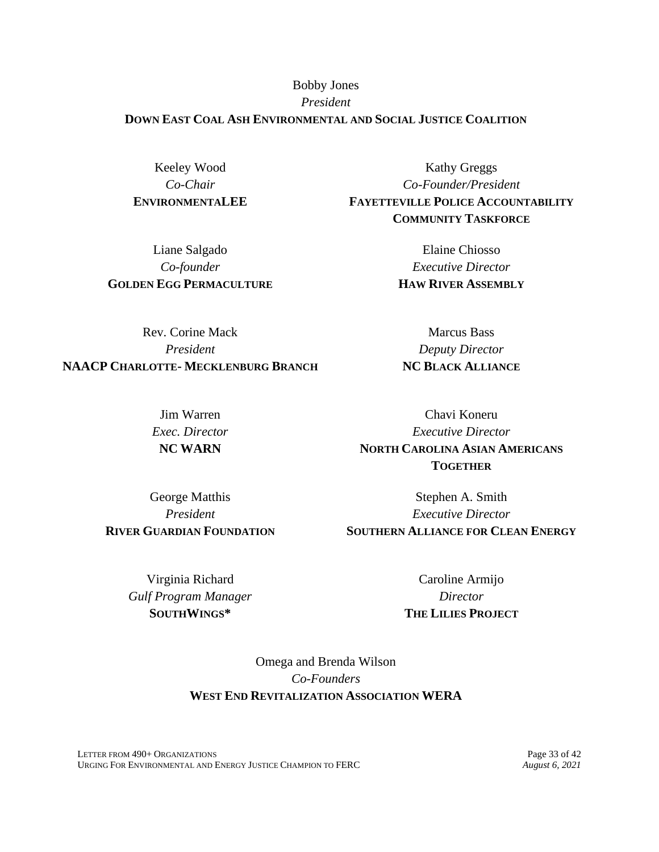### Bobby Jones *President* **DOWN EAST COAL ASH ENVIRONMENTAL AND SOCIAL JUSTICE COALITION**

Keeley Wood *Co-Chair* **ENVIRONMENTALEE**

Liane Salgado *Co-founder* **GOLDEN EGG PERMACULTURE**

Kathy Greggs *Co-Founder/President* **FAYETTEVILLE POLICE ACCOUNTABILITY COMMUNITY TASKFORCE**

> Elaine Chiosso *Executive Director* **HAW RIVER ASSEMBLY**

Marcus Bass *Deputy Director* **NC BLACK ALLIANCE**

Rev. Corine Mack *President* **NAACP CHARLOTTE- MECKLENBURG BRANCH**

> Jim Warren *Exec. Director* **NC WARN**

George Matthis *President* **RIVER GUARDIAN FOUNDATION**

Chavi Koneru *Executive Director* **NORTH CAROLINA ASIAN AMERICANS TOGETHER**

Stephen A. Smith *Executive Director* **SOUTHERN ALLIANCE FOR CLEAN ENERGY**

Virginia Richard *Gulf Program Manager* **SOUTHWINGS\***

Caroline Armijo *Director* **THE LILIES PROJECT**

Omega and Brenda Wilson *Co-Founders* **WEST END REVITALIZATION ASSOCIATION WERA**

LETTER FROM 490+ ORGANIZATIONS<br>
URGING FOR ENVIRONMENTAL AND ENERGY JUSTICE CHAMPION TO FERC *August 6, 2021* URGING FOR ENVIRONMENTAL AND ENERGY JUSTICE CHAMPION TO FERC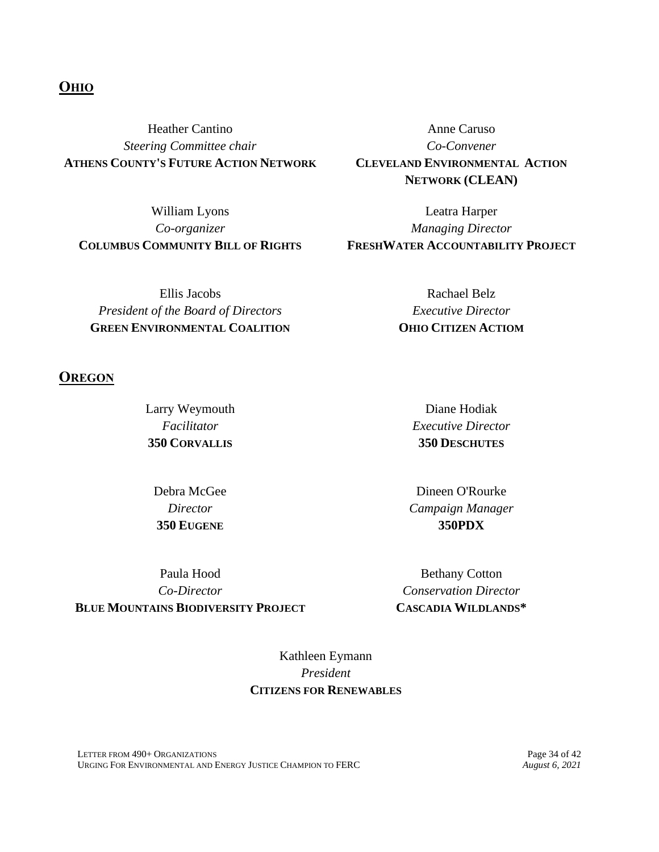### **OHIO**

Heather Cantino *Steering Committee chair* **ATHENS COUNTY'S FUTURE ACTION NETWORK**

William Lyons *Co-organizer* **COLUMBUS COMMUNITY BILL OF RIGHTS**

Ellis Jacobs *President of the Board of Directors* **GREEN ENVIRONMENTAL COALITION**

**OREGON**

Larry Weymouth *Facilitator* **350 CORVALLIS**

Debra McGee *Director* **350 EUGENE**

Paula Hood *Co-Director* **BLUE MOUNTAINS BIODIVERSITY PROJECT**

Anne Caruso *Co-Convener* **CLEVELAND ENVIRONMENTAL ACTION NETWORK (CLEAN)**

Leatra Harper *Managing Director* **FRESHWATER ACCOUNTABILITY PROJECT**

> Rachael Belz *Executive Director* **OHIO CITIZEN ACTIOM**

> > Diane Hodiak *Executive Director* **350 DESCHUTES**

Dineen O'Rourke *Campaign Manager* **350PDX**

Bethany Cotton *Conservation Director* **CASCADIA WILDLANDS\***

Kathleen Eymann *President* **CITIZENS FOR RENEWABLES**

LETTER FROM 490+ ORGANIZATIONS<br>
URGING FOR ENVIRONMENTAL AND ENERGY JUSTICE CHAMPION TO FERC *August 6, 2021* URGING FOR ENVIRONMENTAL AND ENERGY JUSTICE CHAMPION TO FERC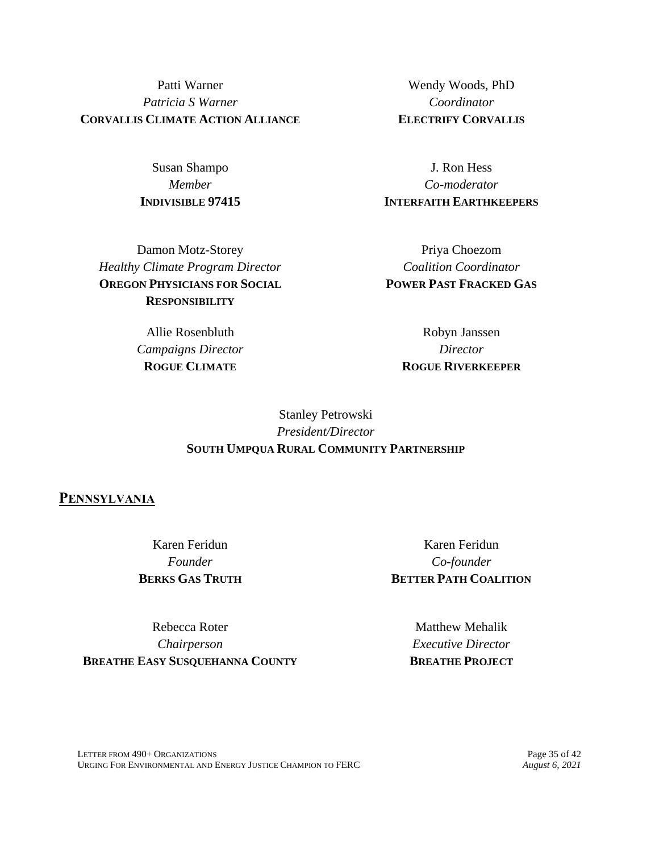Patti Warner *Patricia S Warner* **CORVALLIS CLIMATE ACTION ALLIANCE**

> Susan Shampo *Member* **INDIVISIBLE 97415**

Damon Motz-Storey *Healthy Climate Program Director* **OREGON PHYSICIANS FOR SOCIAL RESPONSIBILITY**

> Allie Rosenbluth *Campaigns Director* **ROGUE CLIMATE**

Wendy Woods, PhD *Coordinator* **ELECTRIFY CORVALLIS**

J. Ron Hess *Co-moderator* **INTERFAITH EARTHKEEPERS**

Priya Choezom *Coalition Coordinator* **POWER PAST FRACKED GAS**

> Robyn Janssen *Director* **ROGUE RIVERKEEPER**

## Stanley Petrowski *President/Director* **SOUTH UMPQUA RURAL COMMUNITY PARTNERSHIP**

#### **PENNSYLVANIA**

Karen Feridun *Founder* **BERKS GAS TRUTH**

Karen Feridun *Co-founder* **BETTER PATH COALITION**

Rebecca Roter *Chairperson* **BREATHE EASY SUSQUEHANNA COUNTY**

Matthew Mehalik *Executive Director* **BREATHE PROJECT**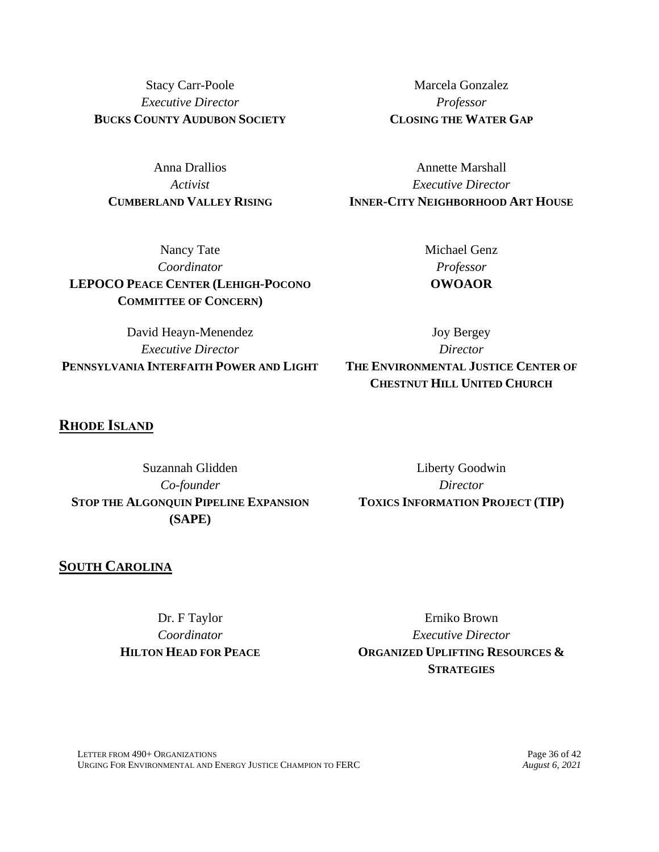Stacy Carr-Poole *Executive Director* **BUCKS COUNTY AUDUBON SOCIETY**

Anna Drallios *Activist* **CUMBERLAND VALLEY RISING**

Marcela Gonzalez *Professor* **CLOSING THE WATER GAP**

Annette Marshall *Executive Director* **INNER-CITY NEIGHBORHOOD ART HOUSE**

Nancy Tate *Coordinator* **LEPOCO PEACE CENTER (LEHIGH-POCONO COMMITTEE OF CONCERN)**

Michael Genz *Professor* **OWOAOR**

David Heayn-Menendez *Executive Director* **PENNSYLVANIA INTERFAITH POWER AND LIGHT**

Joy Bergey *Director* **THE ENVIRONMENTAL JUSTICE CENTER OF CHESTNUT HILL UNITED CHURCH**

### **RHODE ISLAND**

Suzannah Glidden *Co-founder* **STOP THE ALGONQUIN PIPELINE EXPANSION (SAPE)**

Liberty Goodwin *Director* **TOXICS INFORMATION PROJECT (TIP)**

### **SOUTH CAROLINA**

Dr. F Taylor *Coordinator* **HILTON HEAD FOR PEACE**

Erniko Brown *Executive Director* **ORGANIZED UPLIFTING RESOURCES & STRATEGIES**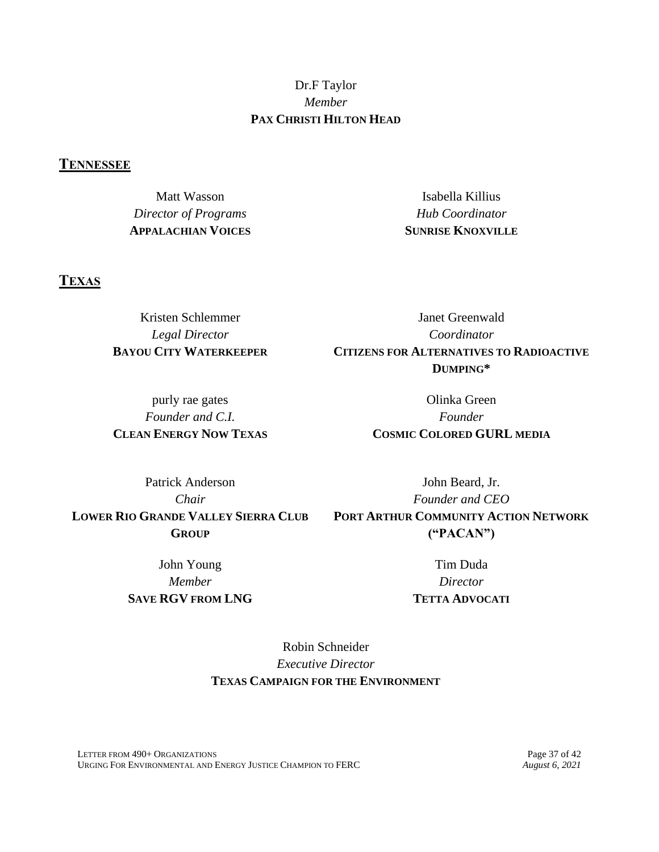## Dr.F Taylor *Member* **PAX CHRISTI HILTON HEAD**

### **TENNESSEE**

Matt Wasson *Director of Programs* **APPALACHIAN VOICES**

**TEXAS**

Kristen Schlemmer *Legal Director* **BAYOU CITY WATERKEEPER**

purly rae gates *Founder and C.I.* **CLEAN ENERGY NOW TEXAS**

Isabella Killius *Hub Coordinator* **SUNRISE KNOXVILLE**

Janet Greenwald *Coordinator* **CITIZENS FOR ALTERNATIVES TO RADIOACTIVE DUMPING\***

> Olinka Green *Founder* **COSMIC COLORED GURL MEDIA**

Patrick Anderson *Chair* **LOWER RIO GRANDE VALLEY SIERRA CLUB GROUP**

> John Young *Member* **SAVE RGV FROM LNG**

John Beard, Jr. *Founder and CEO* **PORT ARTHUR COMMUNITY ACTION NETWORK ("PACAN")**

> Tim Duda *Director* **TETTA ADVOCATI**

Robin Schneider *Executive Director* **TEXAS CAMPAIGN FOR THE ENVIRONMENT**

LETTER FROM 490+ ORGANIZATIONS<br>
URGING FOR ENVIRONMENTAL AND ENERGY JUSTICE CHAMPION TO FERC *August 6, 2021* URGING FOR ENVIRONMENTAL AND ENERGY JUSTICE CHAMPION TO FERC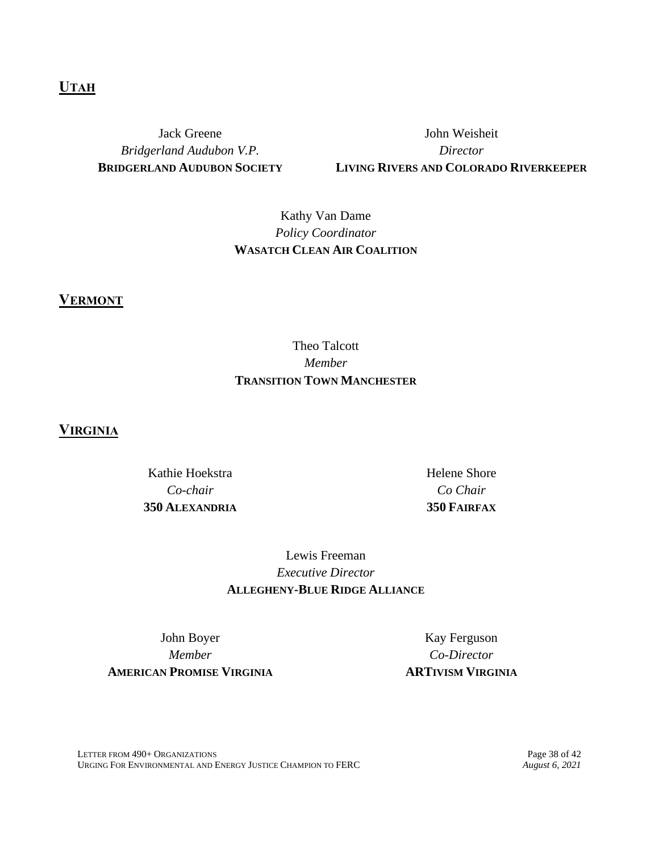### **UTAH**

Jack Greene *Bridgerland Audubon V.P.* **BRIDGERLAND AUDUBON SOCIETY**

John Weisheit *Director* **LIVING RIVERS AND COLORADO RIVERKEEPER**

# Kathy Van Dame *Policy Coordinator* **WASATCH CLEAN AIR COALITION**

**VERMONT**

# Theo Talcott *Member* **TRANSITION TOWN MANCHESTER**

**VIRGINIA**

Kathie Hoekstra *Co-chair* **350 ALEXANDRIA** Helene Shore *Co Chair* **350 FAIRFAX**

Lewis Freeman *Executive Director* **ALLEGHENY-BLUE RIDGE ALLIANCE**

John Boyer *Member* **AMERICAN PROMISE VIRGINIA**

Kay Ferguson *Co-Director* **ARTIVISM VIRGINIA**

LETTER FROM 490+ ORGANIZATIONS Page 38 of 42<br>
URGING FOR ENVIRONMENTAL AND ENERGY JUSTICE CHAMPION TO FERC *August 6, 2021* URGING FOR ENVIRONMENTAL AND ENERGY JUSTICE CHAMPION TO FERC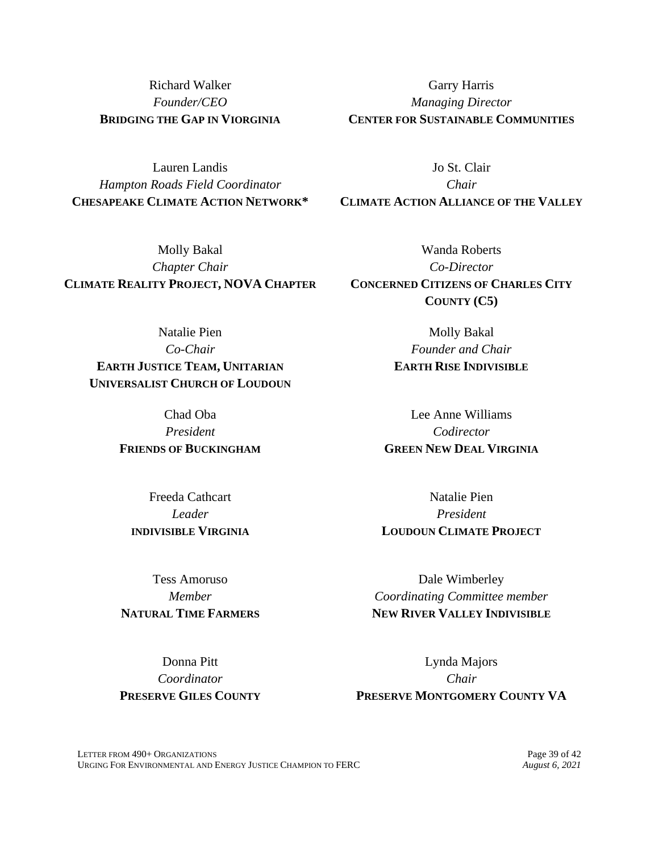Richard Walker *Founder/CEO* **BRIDGING THE GAP IN VIORGINIA**

Garry Harris *Managing Director* **CENTER FOR SUSTAINABLE COMMUNITIES**

Jo St. Clair *Chair* **CLIMATE ACTION ALLIANCE OF THE VALLEY**

Lauren Landis *Hampton Roads Field Coordinator* **CHESAPEAKE CLIMATE ACTION NETWORK\***

Molly Bakal *Chapter Chair* **CLIMATE REALITY PROJECT, NOVA CHAPTER**

Natalie Pien *Co-Chair* **EARTH JUSTICE TEAM, UNITARIAN UNIVERSALIST CHURCH OF LOUDOUN**

> Chad Oba *President* **FRIENDS OF BUCKINGHAM**

Freeda Cathcart *Leader* **INDIVISIBLE VIRGINIA**

Tess Amoruso *Member* **NATURAL TIME FARMERS**

Donna Pitt *Coordinator* **PRESERVE GILES COUNTY**

Wanda Roberts *Co-Director* **CONCERNED CITIZENS OF CHARLES CITY COUNTY (C5)**

> Molly Bakal *Founder and Chair* **EARTH RISE INDIVISIBLE**

Lee Anne Williams *Codirector* **GREEN NEW DEAL VIRGINIA**

Natalie Pien *President* **LOUDOUN CLIMATE PROJECT**

Dale Wimberley *Coordinating Committee member* **NEW RIVER VALLEY INDIVISIBLE**

Lynda Majors *Chair* **PRESERVE MONTGOMERY COUNTY VA**

LETTER FROM 490+ ORGANIZATIONS Page 39 of 42<br>
URGING FOR ENVIRONMENTAL AND ENERGY JUSTICE CHAMPION TO FERC *August 6. 2021* URGING FOR ENVIRONMENTAL AND ENERGY JUSTICE CHAMPION TO FERC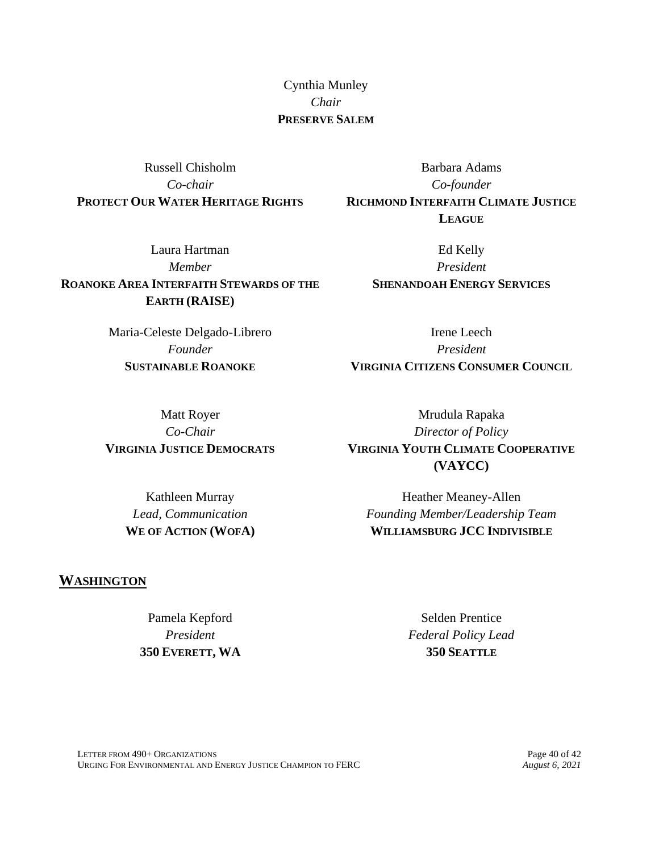Cynthia Munley *Chair* **PRESERVE SALEM**

Russell Chisholm *Co-chair* **PROTECT OUR WATER HERITAGE RIGHTS**

Laura Hartman *Member* **ROANOKE AREA INTERFAITH STEWARDS OF THE EARTH (RAISE)**

> Maria-Celeste Delgado-Librero *Founder* **SUSTAINABLE ROANOKE**

Barbara Adams *Co-founder* **RICHMOND INTERFAITH CLIMATE JUSTICE LEAGUE**

> Ed Kelly *President* **SHENANDOAH ENERGY SERVICES**

Irene Leech *President* **VIRGINIA CITIZENS CONSUMER COUNCIL**

Matt Royer *Co-Chair* **VIRGINIA JUSTICE DEMOCRATS**

> Kathleen Murray *Lead, Communication* **WE OF ACTION (WOFA)**

Mrudula Rapaka *Director of Policy* **VIRGINIA YOUTH CLIMATE COOPERATIVE (VAYCC)**

Heather Meaney-Allen *Founding Member/Leadership Team* **WILLIAMSBURG JCC INDIVISIBLE**

#### **WASHINGTON**

Pamela Kepford *President* **350 EVERETT, WA**

Selden Prentice *Federal Policy Lead* **350 SEATTLE**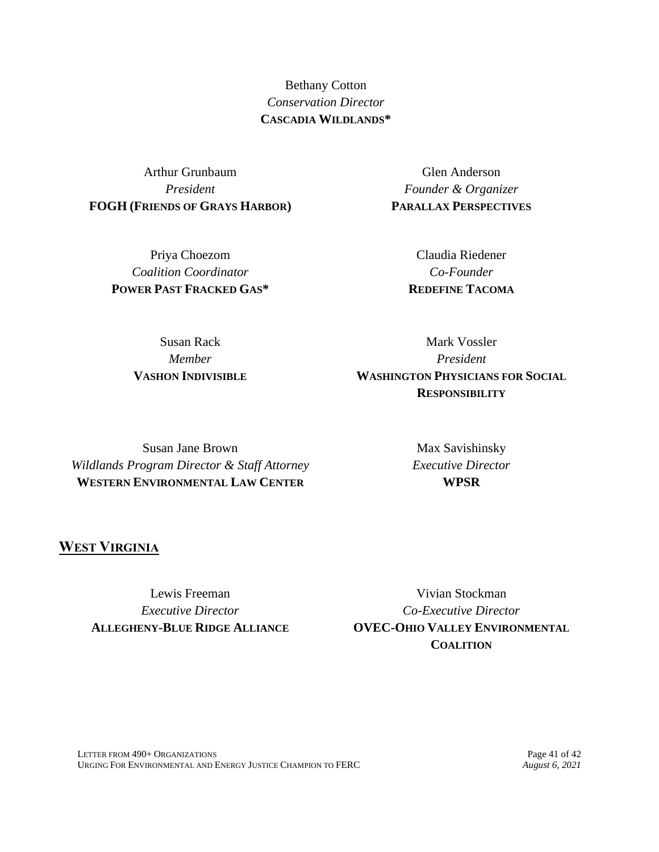Bethany Cotton *Conservation Director* **CASCADIA WILDLANDS\***

Arthur Grunbaum *President* **FOGH (FRIENDS OF GRAYS HARBOR)**

> Priya Choezom *Coalition Coordinator* **POWER PAST FRACKED GAS\***

Glen Anderson *Founder & Organizer* **PARALLAX PERSPECTIVES**

> Claudia Riedener *Co-Founder* **REDEFINE TACOMA**

Susan Rack *Member* **VASHON INDIVISIBLE**

Mark Vossler *President* **WASHINGTON PHYSICIANS FOR SOCIAL RESPONSIBILITY**

Susan Jane Brown *Wildlands Program Director & Staff Attorney* **WESTERN ENVIRONMENTAL LAW CENTER**

Max Savishinsky *Executive Director* **WPSR**

**WEST VIRGINIA**

Lewis Freeman *Executive Director* **ALLEGHENY-BLUE RIDGE ALLIANCE**

Vivian Stockman *Co-Executive Director* **OVEC-OHIO VALLEY ENVIRONMENTAL COALITION**

LETTER FROM 490+ ORGANIZATIONS<br>
URGING FOR ENVIRONMENTAL AND ENERGY JUSTICE CHAMPION TO FERC *August 6, 2021* URGING FOR ENVIRONMENTAL AND ENERGY JUSTICE CHAMPION TO FERC